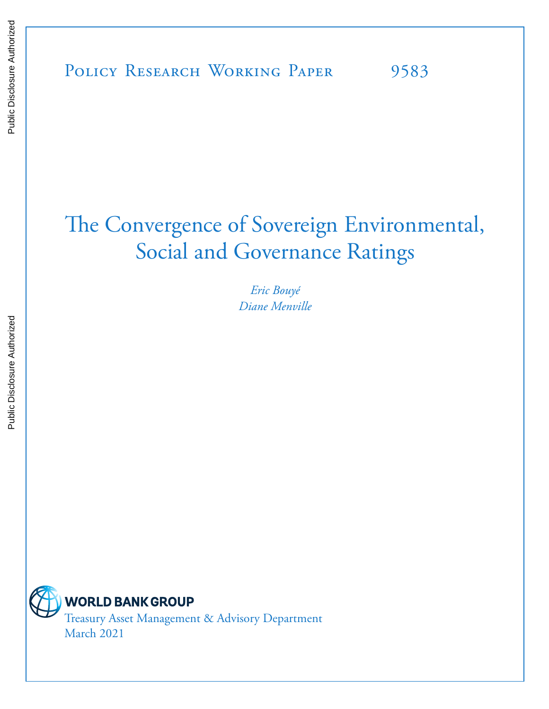# The Convergence of Sovereign Environmental, Social and Governance Ratings

*Eric Bouyé Diane Menville*



Treasury Asset Management & Advisory Department March 2021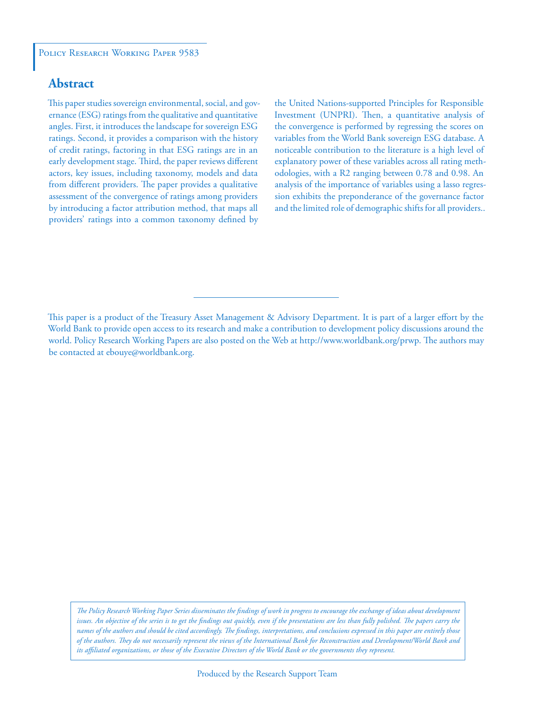#### **Abstract**

This paper studies sovereign environmental, social, and governance (ESG) ratings from the qualitative and quantitative angles. First, it introduces the landscape for sovereign ESG ratings. Second, it provides a comparison with the history of credit ratings, factoring in that ESG ratings are in an early development stage. Third, the paper reviews different actors, key issues, including taxonomy, models and data from different providers. The paper provides a qualitative assessment of the convergence of ratings among providers by introducing a factor attribution method, that maps all providers' ratings into a common taxonomy defined by

the United Nations-supported Principles for Responsible Investment (UNPRI). Then, a quantitative analysis of the convergence is performed by regressing the scores on variables from the World Bank sovereign ESG database. A noticeable contribution to the literature is a high level of explanatory power of these variables across all rating methodologies, with a R2 ranging between 0.78 and 0.98. An analysis of the importance of variables using a lasso regression exhibits the preponderance of the governance factor and the limited role of demographic shifts for all providers..

*The Policy Research Working Paper Series disseminates the findings of work in progress to encourage the exchange of ideas about development*  issues. An objective of the series is to get the findings out quickly, even if the presentations are less than fully polished. The papers carry the *names of the authors and should be cited accordingly. The findings, interpretations, and conclusions expressed in this paper are entirely those of the authors. They do not necessarily represent the views of the International Bank for Reconstruction and Development/World Bank and its affiliated organizations, or those of the Executive Directors of the World Bank or the governments they represent.*

This paper is a product of the Treasury Asset Management & Advisory Department. It is part of a larger effort by the World Bank to provide open access to its research and make a contribution to development policy discussions around the world. Policy Research Working Papers are also posted on the Web at http://www.worldbank.org/prwp. The authors may be contacted at ebouye@worldbank.org.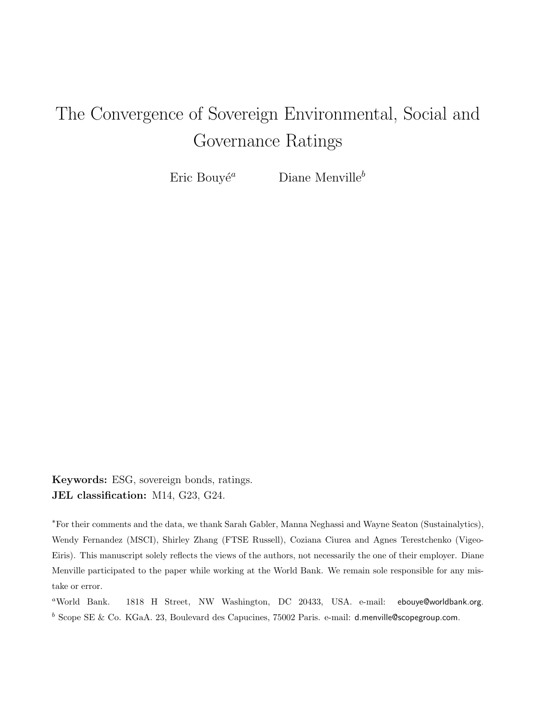# The Convergence of Sovereign Environmental, Social and Governance Ratings

Eric Bouvé<sup>a</sup> Diane Menville<sup>b</sup>

Keywords: ESG, sovereign bonds, ratings. JEL classification: M14, G23, G24.

<sup>∗</sup>For their comments and the data, we thank Sarah Gabler, Manna Neghassi and Wayne Seaton (Sustainalytics), Wendy Fernandez (MSCI), Shirley Zhang (FTSE Russell), Coziana Ciurea and Agnes Terestchenko (Vigeo-Eiris). This manuscript solely reflects the views of the authors, not necessarily the one of their employer. Diane Menville participated to the paper while working at the World Bank. We remain sole responsible for any mistake or error.

<sup>a</sup>World Bank. 1818 H Street, NW Washington, DC 20433, USA. e-mail: ebouye@worldbank.org.  $^b$  Scope SE & Co. KGaA. 23, Boulevard des Capucines, 75002 Paris. e-mail: d.menville@scopegroup.com.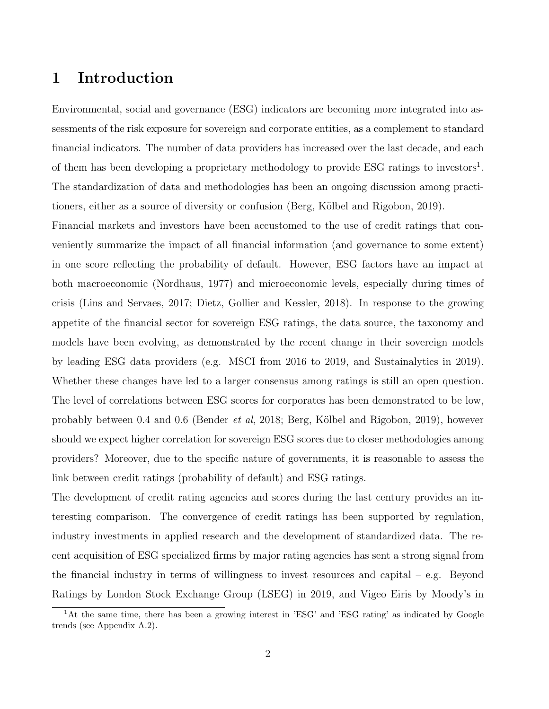# 1 Introduction

Environmental, social and governance (ESG) indicators are becoming more integrated into assessments of the risk exposure for sovereign and corporate entities, as a complement to standard financial indicators. The number of data providers has increased over the last decade, and each of them has been developing a proprietary methodology to provide ESG ratings to investors<sup>1</sup>. The standardization of data and methodologies has been an ongoing discussion among practitioners, either as a source of diversity or confusion (Berg, Kölbel and Rigobon, 2019).

Financial markets and investors have been accustomed to the use of credit ratings that conveniently summarize the impact of all financial information (and governance to some extent) in one score reflecting the probability of default. However, ESG factors have an impact at both macroeconomic (Nordhaus, 1977) and microeconomic levels, especially during times of crisis (Lins and Servaes, 2017; Dietz, Gollier and Kessler, 2018). In response to the growing appetite of the financial sector for sovereign ESG ratings, the data source, the taxonomy and models have been evolving, as demonstrated by the recent change in their sovereign models by leading ESG data providers (e.g. MSCI from 2016 to 2019, and Sustainalytics in 2019). Whether these changes have led to a larger consensus among ratings is still an open question. The level of correlations between ESG scores for corporates has been demonstrated to be low, probably between 0.4 and 0.6 (Bender *et al*, 2018; Berg, Kölbel and Rigobon, 2019), however should we expect higher correlation for sovereign ESG scores due to closer methodologies among providers? Moreover, due to the specific nature of governments, it is reasonable to assess the link between credit ratings (probability of default) and ESG ratings.

The development of credit rating agencies and scores during the last century provides an interesting comparison. The convergence of credit ratings has been supported by regulation, industry investments in applied research and the development of standardized data. The recent acquisition of ESG specialized firms by major rating agencies has sent a strong signal from the financial industry in terms of willingness to invest resources and capital – e.g. Beyond Ratings by London Stock Exchange Group (LSEG) in 2019, and Vigeo Eiris by Moody's in

<sup>&</sup>lt;sup>1</sup>At the same time, there has been a growing interest in 'ESG' and 'ESG rating' as indicated by Google trends (see Appendix A.2).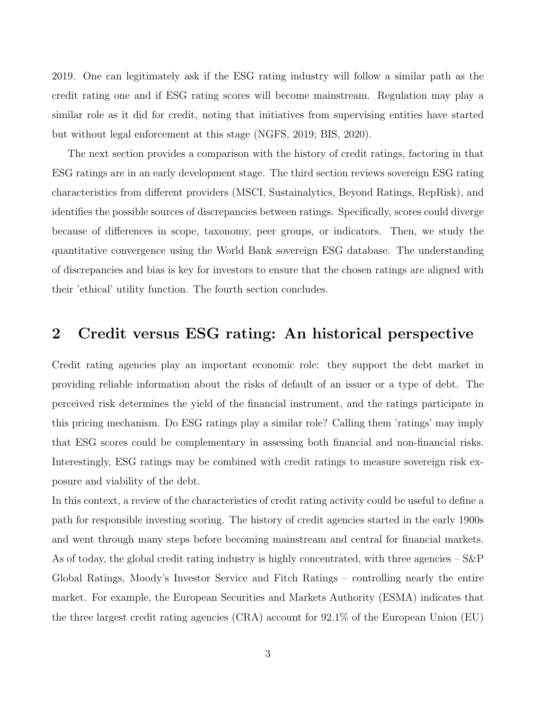2019. One can legitimately ask if the ESG rating industry will follow a similar path as the credit rating one and if ESG rating scores will become mainstream. Regulation may play a similar role as it did for credit, noting that initiatives from supervising entities have started but without legal enforcement at this stage (NGFS, 2019; BIS, 2020).

The next section provides a comparison with the history of credit ratings, factoring in that ESG ratings are in an early development stage. The third section reviews sovereign ESG rating characteristics from different providers (MSCI, Sustainalytics, Beyond Ratings, RepRisk), and identifies the possible sources of discrepancies between ratings. Specifically, scores could diverge because of differences in scope, taxonomy, peer groups, or indicators. Then, we study the quantitative convergence using the World Bank sovereign ESG database. The understanding of discrepancies and bias is key for investors to ensure that the chosen ratings are aligned with their 'ethical' utility function. The fourth section concludes.

## 2 Credit versus ESG rating: An historical perspective

Credit rating agencies play an important economic role: they support the debt market in providing reliable information about the risks of default of an issuer or a type of debt. The perceived risk determines the yield of the financial instrument, and the ratings participate in this pricing mechanism. Do ESG ratings play a similar role? Calling them 'ratings' may imply that ESG scores could be complementary in assessing both financial and non-financial risks. Interestingly, ESG ratings may be combined with credit ratings to measure sovereign risk exposure and viability of the debt.

In this context, a review of the characteristics of credit rating activity could be useful to define a path for responsible investing scoring. The history of credit agencies started in the early 1900s and went through many steps before becoming mainstream and central for financial markets. As of today, the global credit rating industry is highly concentrated, with three agencies  $-$  S&P Global Ratings, Moody's Investor Service and Fitch Ratings – controlling nearly the entire market. For example, the European Securities and Markets Authority (ESMA) indicates that the three largest credit rating agencies (CRA) account for 92.1% of the European Union (EU)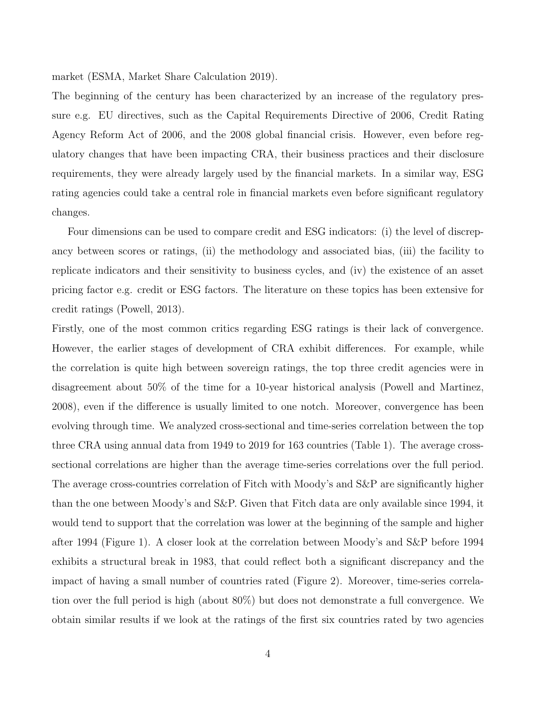market (ESMA, Market Share Calculation 2019).

The beginning of the century has been characterized by an increase of the regulatory pressure e.g. EU directives, such as the Capital Requirements Directive of 2006, Credit Rating Agency Reform Act of 2006, and the 2008 global financial crisis. However, even before regulatory changes that have been impacting CRA, their business practices and their disclosure requirements, they were already largely used by the financial markets. In a similar way, ESG rating agencies could take a central role in financial markets even before significant regulatory changes.

Four dimensions can be used to compare credit and ESG indicators: (i) the level of discrepancy between scores or ratings, (ii) the methodology and associated bias, (iii) the facility to replicate indicators and their sensitivity to business cycles, and (iv) the existence of an asset pricing factor e.g. credit or ESG factors. The literature on these topics has been extensive for credit ratings (Powell, 2013).

Firstly, one of the most common critics regarding ESG ratings is their lack of convergence. However, the earlier stages of development of CRA exhibit differences. For example, while the correlation is quite high between sovereign ratings, the top three credit agencies were in disagreement about 50% of the time for a 10-year historical analysis (Powell and Martinez, 2008), even if the difference is usually limited to one notch. Moreover, convergence has been evolving through time. We analyzed cross-sectional and time-series correlation between the top three CRA using annual data from 1949 to 2019 for 163 countries (Table 1). The average crosssectional correlations are higher than the average time-series correlations over the full period. The average cross-countries correlation of Fitch with Moody's and S&P are significantly higher than the one between Moody's and S&P. Given that Fitch data are only available since 1994, it would tend to support that the correlation was lower at the beginning of the sample and higher after 1994 (Figure 1). A closer look at the correlation between Moody's and S&P before 1994 exhibits a structural break in 1983, that could reflect both a significant discrepancy and the impact of having a small number of countries rated (Figure 2). Moreover, time-series correlation over the full period is high (about 80%) but does not demonstrate a full convergence. We obtain similar results if we look at the ratings of the first six countries rated by two agencies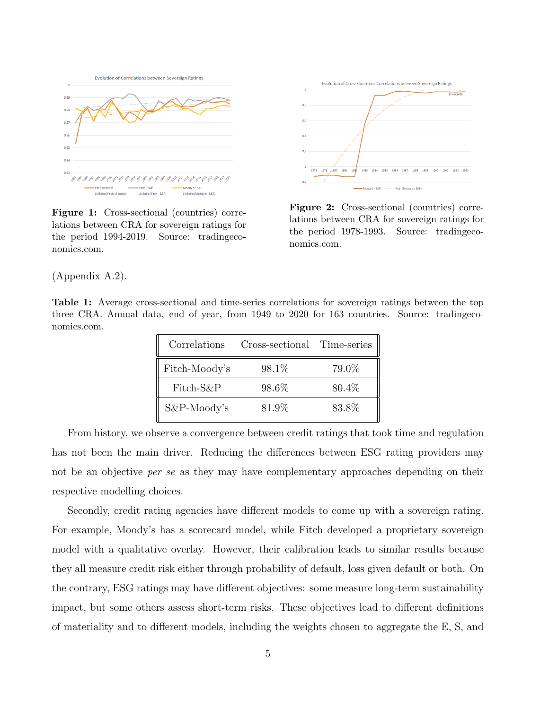

Figure 1: Cross-sectional (countries) correlations between CRA for sovereign ratings for the period 1994-2019. Source: tradingeconomics.com.



Figure 2: Cross-sectional (countries) correlations between CRA for sovereign ratings for the period 1978-1993. Source: tradingeconomics.com.

(Appendix A.2).

Table 1: Average cross-sectional and time-series correlations for sovereign ratings between the top three CRA. Annual data, end of year, from 1949 to 2020 for 163 countries. Source: tradingeconomics.com.

| Correlations  | Cross-sectional Time-series |        |
|---------------|-----------------------------|--------|
| Fitch-Moody's | 98.1\%                      | 79.0%  |
| Fitch-S&P     | 98.6%                       | 80.4\% |
| S&P-Moody's   | 81.9%                       | 83.8%  |

From history, we observe a convergence between credit ratings that took time and regulation has not been the main driver. Reducing the differences between ESG rating providers may not be an objective *per se* as they may have complementary approaches depending on their respective modelling choices.

Secondly, credit rating agencies have different models to come up with a sovereign rating. For example, Moody's has a scorecard model, while Fitch developed a proprietary sovereign model with a qualitative overlay. However, their calibration leads to similar results because they all measure credit risk either through probability of default, loss given default or both. On the contrary, ESG ratings may have different objectives: some measure long-term sustainability impact, but some others assess short-term risks. These objectives lead to different definitions of materiality and to different models, including the weights chosen to aggregate the E, S, and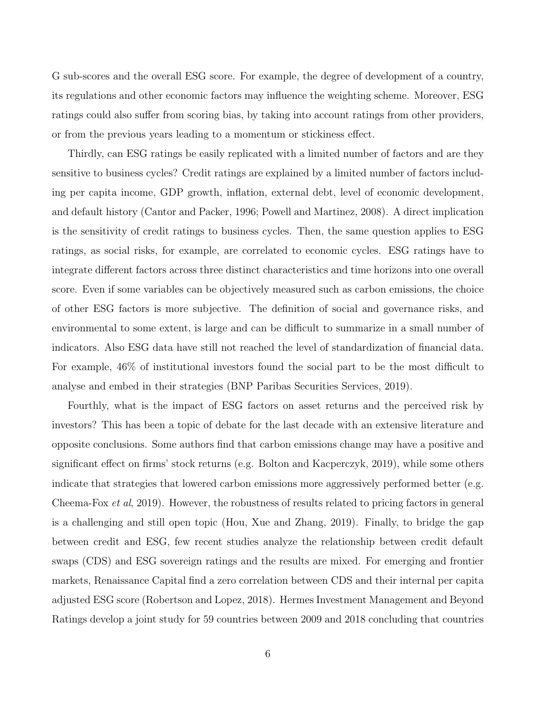G sub-scores and the overall ESG score. For example, the degree of development of a country, its regulations and other economic factors may influence the weighting scheme. Moreover, ESG ratings could also suffer from scoring bias, by taking into account ratings from other providers, or from the previous years leading to a momentum or stickiness effect.

Thirdly, can ESG ratings be easily replicated with a limited number of factors and are they sensitive to business cycles? Credit ratings are explained by a limited number of factors including per capita income, GDP growth, inflation, external debt, level of economic development, and default history (Cantor and Packer, 1996; Powell and Martinez, 2008). A direct implication is the sensitivity of credit ratings to business cycles. Then, the same question applies to ESG ratings, as social risks, for example, are correlated to economic cycles. ESG ratings have to integrate different factors across three distinct characteristics and time horizons into one overall score. Even if some variables can be objectively measured such as carbon emissions, the choice of other ESG factors is more subjective. The definition of social and governance risks, and environmental to some extent, is large and can be difficult to summarize in a small number of indicators. Also ESG data have still not reached the level of standardization of financial data. For example, 46% of institutional investors found the social part to be the most difficult to analyse and embed in their strategies (BNP Paribas Securities Services, 2019).

Fourthly, what is the impact of ESG factors on asset returns and the perceived risk by investors? This has been a topic of debate for the last decade with an extensive literature and opposite conclusions. Some authors find that carbon emissions change may have a positive and significant effect on firms' stock returns (e.g. Bolton and Kacperczyk, 2019), while some others indicate that strategies that lowered carbon emissions more aggressively performed better (e.g. Cheema-Fox et al, 2019). However, the robustness of results related to pricing factors in general is a challenging and still open topic (Hou, Xue and Zhang, 2019). Finally, to bridge the gap between credit and ESG, few recent studies analyze the relationship between credit default swaps (CDS) and ESG sovereign ratings and the results are mixed. For emerging and frontier markets, Renaissance Capital find a zero correlation between CDS and their internal per capita adjusted ESG score (Robertson and Lopez, 2018). Hermes Investment Management and Beyond Ratings develop a joint study for 59 countries between 2009 and 2018 concluding that countries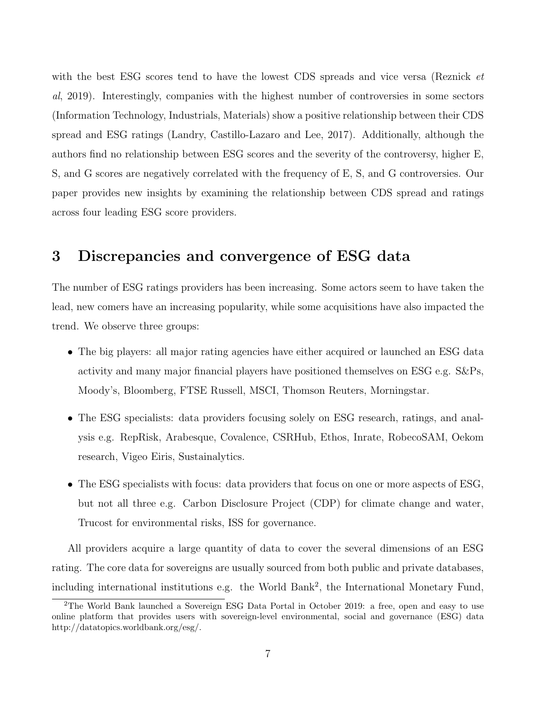with the best ESG scores tend to have the lowest CDS spreads and vice versa (Reznick *et* al, 2019). Interestingly, companies with the highest number of controversies in some sectors (Information Technology, Industrials, Materials) show a positive relationship between their CDS spread and ESG ratings (Landry, Castillo-Lazaro and Lee, 2017). Additionally, although the authors find no relationship between ESG scores and the severity of the controversy, higher E, S, and G scores are negatively correlated with the frequency of E, S, and G controversies. Our paper provides new insights by examining the relationship between CDS spread and ratings across four leading ESG score providers.

# 3 Discrepancies and convergence of ESG data

The number of ESG ratings providers has been increasing. Some actors seem to have taken the lead, new comers have an increasing popularity, while some acquisitions have also impacted the trend. We observe three groups:

- The big players: all major rating agencies have either acquired or launched an ESG data activity and many major financial players have positioned themselves on ESG e.g. S&Ps, Moody's, Bloomberg, FTSE Russell, MSCI, Thomson Reuters, Morningstar.
- The ESG specialists: data providers focusing solely on ESG research, ratings, and analysis e.g. RepRisk, Arabesque, Covalence, CSRHub, Ethos, Inrate, RobecoSAM, Oekom research, Vigeo Eiris, Sustainalytics.
- The ESG specialists with focus: data providers that focus on one or more aspects of ESG, but not all three e.g. Carbon Disclosure Project (CDP) for climate change and water, Trucost for environmental risks, ISS for governance.

All providers acquire a large quantity of data to cover the several dimensions of an ESG rating. The core data for sovereigns are usually sourced from both public and private databases, including international institutions e.g. the World Bank<sup>2</sup>, the International Monetary Fund,

<sup>&</sup>lt;sup>2</sup>The World Bank launched a Sovereign ESG Data Portal in October 2019: a free, open and easy to use online platform that provides users with sovereign-level environmental, social and governance (ESG) data http://datatopics.worldbank.org/esg/.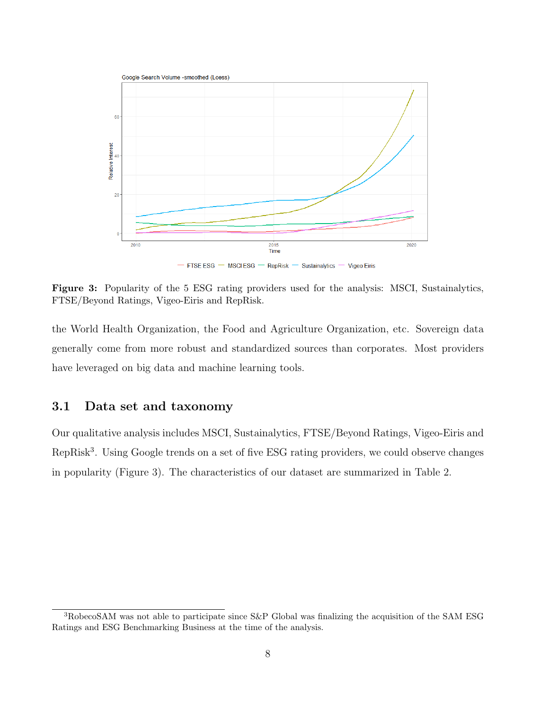

Figure 3: Popularity of the 5 ESG rating providers used for the analysis: MSCI, Sustainalytics, FTSE/Beyond Ratings, Vigeo-Eiris and RepRisk.

the World Health Organization, the Food and Agriculture Organization, etc. Sovereign data generally come from more robust and standardized sources than corporates. Most providers have leveraged on big data and machine learning tools.

#### 3.1 Data set and taxonomy

Our qualitative analysis includes MSCI, Sustainalytics, FTSE/Beyond Ratings, Vigeo-Eiris and RepRisk<sup>3</sup>. Using Google trends on a set of five ESG rating providers, we could observe changes in popularity (Figure 3). The characteristics of our dataset are summarized in Table 2.

<sup>3</sup>RobecoSAM was not able to participate since S&P Global was finalizing the acquisition of the SAM ESG Ratings and ESG Benchmarking Business at the time of the analysis.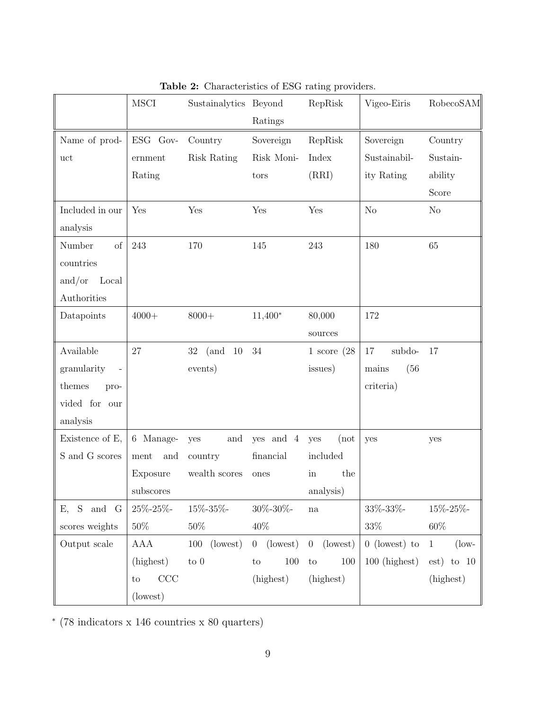|                 | <b>MSCI</b>     | Sustainalytics Beyond    |                                   | RepRisk                           | Vigeo-Eiris     | RobecoSAM                      |
|-----------------|-----------------|--------------------------|-----------------------------------|-----------------------------------|-----------------|--------------------------------|
|                 |                 |                          | Ratings                           |                                   |                 |                                |
| Name of prod-   | ESG Gov-        | Country                  | Sovereign                         | RepRisk                           | Sovereign       | Country                        |
| uct             | ernment         | Risk Rating              | Risk Moni-                        | Index                             | Sustainabil-    | Sustain-                       |
|                 | Rating          |                          | tors                              | (RRI)                             | ity Rating      | ability                        |
|                 |                 |                          |                                   |                                   |                 | Score                          |
| Included in our | Yes             | Yes                      | Yes                               | Yes                               | N <sub>o</sub>  | No                             |
| analysis        |                 |                          |                                   |                                   |                 |                                |
| Number<br>of    | 243             | 170                      | 145                               | 243                               | 180             | 65                             |
| countries       |                 |                          |                                   |                                   |                 |                                |
| and/or<br>Local |                 |                          |                                   |                                   |                 |                                |
| Authorities     |                 |                          |                                   |                                   |                 |                                |
| Datapoints      | $4000+$         | $8000+$                  | $11,400*$                         | 80,000                            | 172             |                                |
|                 |                 |                          |                                   | sources                           |                 |                                |
| Available       | 27              | $32\,$<br>(and<br>$10\,$ | $34\,$                            | 1 score $(28)$                    | subdo-<br>17    | 17                             |
| granularity     |                 | events)                  |                                   | issues)                           | (56)<br>mains   |                                |
| themes<br>pro-  |                 |                          |                                   |                                   | criteria)       |                                |
| vided for our   |                 |                          |                                   |                                   |                 |                                |
| analysis        |                 |                          |                                   |                                   |                 |                                |
| Existence of E, | 6 Manage-       | and<br>yes               | yes and 4                         | (not<br>yes                       | yes             | yes                            |
| S and G scores  | ment<br>and     | country                  | financial                         | included                          |                 |                                |
|                 | Exposure        | wealth scores            | ones                              | the<br>in                         |                 |                                |
|                 | subscores       |                          |                                   | analysis)                         |                 |                                |
| $E$ , S and G   | $25\% - 25\% -$ | $15\% - 35\% -$          | $30\% - 30\% -$                   | $\operatorname{na}$               | $33\% - 33\% -$ | 15%-25%-                       |
| scores weights  | $50\%$          | $50\%$                   | $40\%$                            |                                   | $33\%$          | $60\%$                         |
| Output scale    | AAA             | $100$ (lowest)           | $0$ (lowest)                      | $0$ (lowest)                      | $0$ (lowest) to | $(\text{low-}$<br>$\mathbf{1}$ |
|                 | (highest)       | to $0$                   | $100\,$<br>$\mathop{\mathrm{to}}$ | 100<br>$\mathop{\rm to}\nolimits$ | $100$ (highest) | $est)$ to 10                   |
|                 | CCC<br>to       |                          | (highest)                         | (highest)                         |                 | (highest)                      |
|                 | (lowest)        |                          |                                   |                                   |                 |                                |

Table 2: Characteristics of ESG rating providers.

∗ (78 indicators x 146 countries x 80 quarters)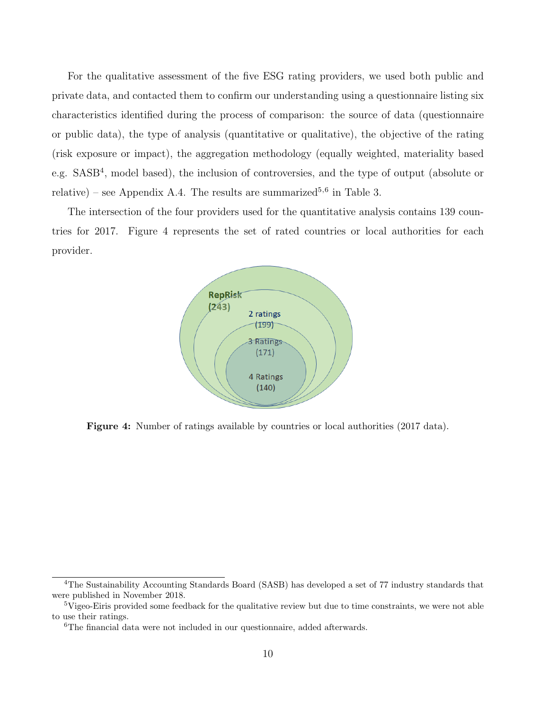For the qualitative assessment of the five ESG rating providers, we used both public and private data, and contacted them to confirm our understanding using a questionnaire listing six characteristics identified during the process of comparison: the source of data (questionnaire or public data), the type of analysis (quantitative or qualitative), the objective of the rating (risk exposure or impact), the aggregation methodology (equally weighted, materiality based e.g. SASB<sup>4</sup>, model based), the inclusion of controversies, and the type of output (absolute or relative) – see Appendix A.4. The results are summarized<sup>5,6</sup> in Table 3.

The intersection of the four providers used for the quantitative analysis contains 139 countries for 2017. Figure 4 represents the set of rated countries or local authorities for each provider.



Figure 4: Number of ratings available by countries or local authorities (2017 data).

<sup>4</sup>The Sustainability Accounting Standards Board (SASB) has developed a set of 77 industry standards that were published in November 2018.

<sup>&</sup>lt;sup>5</sup>Vigeo-Eiris provided some feedback for the qualitative review but due to time constraints, we were not able to use their ratings.

<sup>6</sup>The financial data were not included in our questionnaire, added afterwards.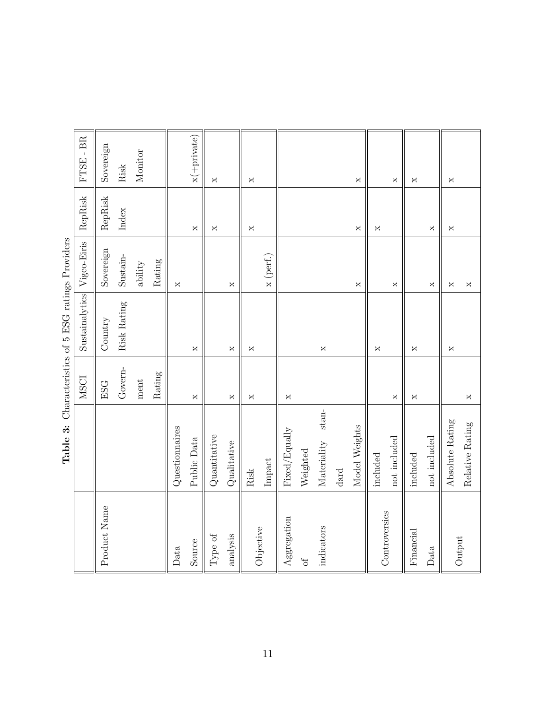|               |                           | <b>NSCI</b>        | $S$ ustainalytics                                                                     | Vigeo-Eiris              | RepRisk                                                                               | $FTSE - BR$                                                                           |
|---------------|---------------------------|--------------------|---------------------------------------------------------------------------------------|--------------------------|---------------------------------------------------------------------------------------|---------------------------------------------------------------------------------------|
| Product Name  |                           | <b>ESG</b>         | Country                                                                               | Sovereign                | RepRisk                                                                               | Sovereign                                                                             |
|               |                           | Govern-            | Risk Rating                                                                           | $S$ ustain-              | Index                                                                                 | $\mathrm{Risk}$                                                                       |
|               |                           | ment               |                                                                                       | $\it ability$            |                                                                                       | Monitor                                                                               |
|               |                           | Rating             |                                                                                       | Rating                   |                                                                                       |                                                                                       |
| Data          | Questionnaires            |                    |                                                                                       | ×                        |                                                                                       |                                                                                       |
| Source        | Public Data               | $\mathsf{X}$       | $\mathsf{X}% _{T}=\mathsf{X}_{T}\!\left( a,b\right) ,\ \mathsf{X}_{T}=\mathsf{X}_{T}$ |                          | $\mathsf{X}$                                                                          | $x$ (+private)                                                                        |
| Type of       | $\label{eq:quantization}$ |                    |                                                                                       |                          | $\mathsf{X}$                                                                          | $\mathsf{X}% _{0}$                                                                    |
| analysis      | Qualitative               | $\mathsf{X}% _{0}$ | $\mathsf{X}% _{0}$                                                                    | ×                        |                                                                                       |                                                                                       |
| Objective     | Risk                      | ×                  | X                                                                                     |                          | ×                                                                                     | $\mathsf{X}% _{T}=\mathsf{X}_{T}\!\left( a,b\right) ,\ \mathsf{X}_{T}=\mathsf{X}_{T}$ |
|               | Impact                    |                    |                                                                                       | $\boldsymbol{x}$ (perf.) |                                                                                       |                                                                                       |
| Aggregation   | Fixed/Equally             | $\times$           |                                                                                       |                          |                                                                                       |                                                                                       |
| $\sigma$      | Weighted                  |                    |                                                                                       |                          |                                                                                       |                                                                                       |
| indicators    | $stan-$<br>Materiality    |                    | $\times$                                                                              |                          |                                                                                       |                                                                                       |
|               | $\mathrm{d}\mathrm{ard}$  |                    |                                                                                       |                          |                                                                                       |                                                                                       |
|               | Model Weights             |                    |                                                                                       | $\times$                 | $\times$                                                                              | $\mathsf{X}$                                                                          |
|               | included                  |                    | ×                                                                                     |                          | $\mathsf{X}% _{T}=\mathsf{X}_{T}\!\left( a,b\right) ,\ \mathsf{X}_{T}=\mathsf{X}_{T}$ |                                                                                       |
| Controversies | not included              | ×                  |                                                                                       | X                        |                                                                                       | X                                                                                     |
| Financial     | included                  | ×                  | X                                                                                     |                          |                                                                                       | $\mathsf{X}% _{T}=\mathsf{X}_{T}\!\left( a,b\right) ,\ \mathsf{X}_{T}=\mathsf{X}_{T}$ |
| Data          | not included              |                    |                                                                                       | X                        | $\mathsf{X}$                                                                          |                                                                                       |
| Output        | Absolute Rating           |                    | $\mathsf{X}$                                                                          | X                        | X                                                                                     | $\mathsf{X}$                                                                          |
|               | Relative Rating           | X                  |                                                                                       | X                        |                                                                                       |                                                                                       |

| l<br>ļ<br>)                     |
|---------------------------------|
| くくり                             |
| Í                               |
| Ì<br>֚֡֕֡<br>$\frac{1}{2}$<br>j |
| ;                               |
| $\frac{1}{2}$                   |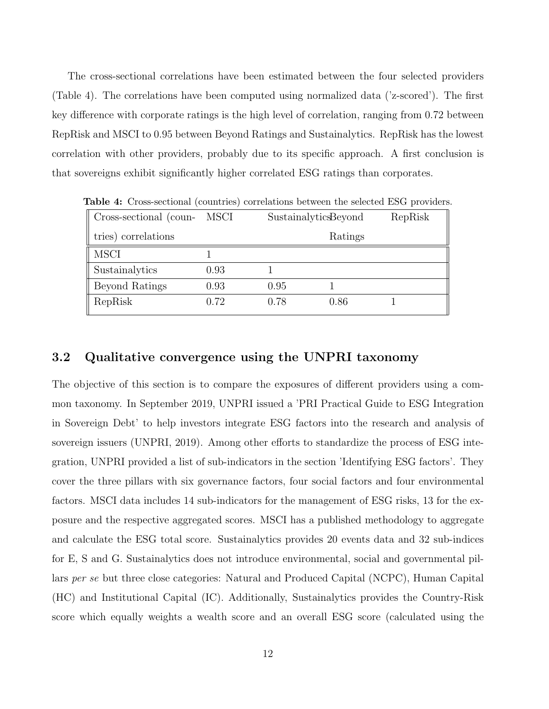The cross-sectional correlations have been estimated between the four selected providers (Table 4). The correlations have been computed using normalized data ('z-scored'). The first key difference with corporate ratings is the high level of correlation, ranging from 0.72 between RepRisk and MSCI to 0.95 between Beyond Ratings and Sustainalytics. RepRisk has the lowest correlation with other providers, probably due to its specific approach. A first conclusion is that sovereigns exhibit significantly higher correlated ESG ratings than corporates.

| Cross-sectional (coun- MSCI |      | SustainalyticsBeyond |         | RepRisk |
|-----------------------------|------|----------------------|---------|---------|
| tries) correlations         |      |                      | Ratings |         |
| <b>MSCI</b>                 |      |                      |         |         |
| Sustainalytics              | 0.93 |                      |         |         |
| Beyond Ratings              | 0.93 | 0.95                 |         |         |
| RepRisk                     | 0.72 | 0.78                 | 0.86    |         |

Table 4: Cross-sectional (countries) correlations between the selected ESG providers.

#### 3.2 Qualitative convergence using the UNPRI taxonomy

The objective of this section is to compare the exposures of different providers using a common taxonomy. In September 2019, UNPRI issued a 'PRI Practical Guide to ESG Integration in Sovereign Debt' to help investors integrate ESG factors into the research and analysis of sovereign issuers (UNPRI, 2019). Among other efforts to standardize the process of ESG integration, UNPRI provided a list of sub-indicators in the section 'Identifying ESG factors'. They cover the three pillars with six governance factors, four social factors and four environmental factors. MSCI data includes 14 sub-indicators for the management of ESG risks, 13 for the exposure and the respective aggregated scores. MSCI has a published methodology to aggregate and calculate the ESG total score. Sustainalytics provides 20 events data and 32 sub-indices for E, S and G. Sustainalytics does not introduce environmental, social and governmental pillars per se but three close categories: Natural and Produced Capital (NCPC), Human Capital (HC) and Institutional Capital (IC). Additionally, Sustainalytics provides the Country-Risk score which equally weights a wealth score and an overall ESG score (calculated using the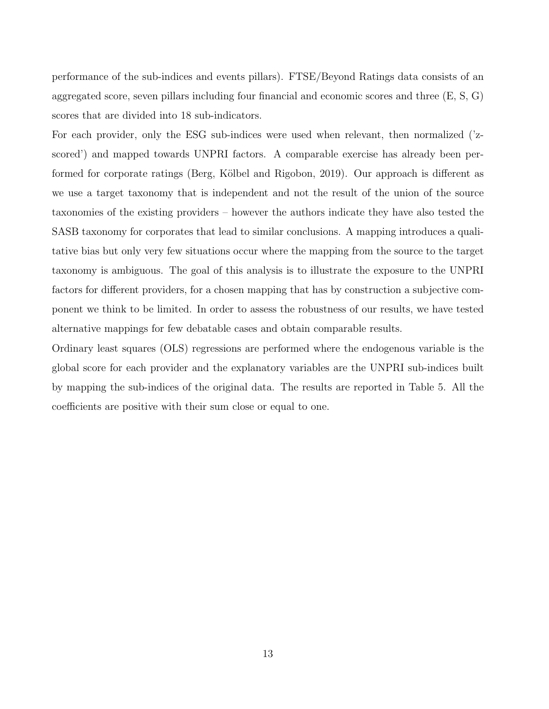performance of the sub-indices and events pillars). FTSE/Beyond Ratings data consists of an aggregated score, seven pillars including four financial and economic scores and three (E, S, G) scores that are divided into 18 sub-indicators.

For each provider, only the ESG sub-indices were used when relevant, then normalized ('zscored') and mapped towards UNPRI factors. A comparable exercise has already been performed for corporate ratings (Berg, Kölbel and Rigobon, 2019). Our approach is different as we use a target taxonomy that is independent and not the result of the union of the source taxonomies of the existing providers – however the authors indicate they have also tested the SASB taxonomy for corporates that lead to similar conclusions. A mapping introduces a qualitative bias but only very few situations occur where the mapping from the source to the target taxonomy is ambiguous. The goal of this analysis is to illustrate the exposure to the UNPRI factors for different providers, for a chosen mapping that has by construction a subjective component we think to be limited. In order to assess the robustness of our results, we have tested alternative mappings for few debatable cases and obtain comparable results.

Ordinary least squares (OLS) regressions are performed where the endogenous variable is the global score for each provider and the explanatory variables are the UNPRI sub-indices built by mapping the sub-indices of the original data. The results are reported in Table 5. All the coefficients are positive with their sum close or equal to one.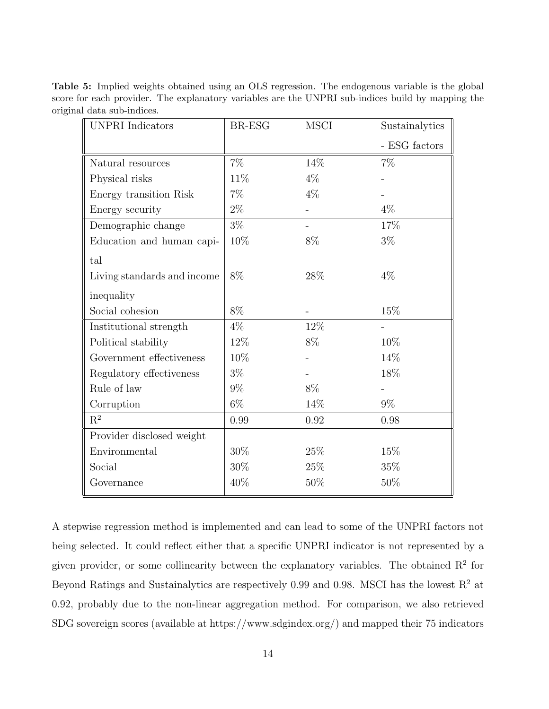Table 5: Implied weights obtained using an OLS regression. The endogenous variable is the global score for each provider. The explanatory variables are the UNPRI sub-indices build by mapping the original data sub-indices.

| <b>UNPRI</b> Indicators     | BR-ESG | <b>MSCI</b> | Sustainalytics |
|-----------------------------|--------|-------------|----------------|
|                             |        |             | - ESG factors  |
| Natural resources           | $7\%$  | 14\%        | $7\%$          |
| Physical risks              | 11\%   | $4\%$       |                |
| Energy transition Risk      | $7\%$  | $4\%$       |                |
| Energy security             | $2\%$  |             | $4\%$          |
| Demographic change          | $3\%$  |             | $17\%$         |
| Education and human capi-   | 10%    | $8\%$       | $3\%$          |
| tal                         |        |             |                |
| Living standards and income | 8%     | $28\%$      | $4\%$          |
| inequality                  |        |             |                |
| Social cohesion             | 8%     |             | 15%            |
| Institutional strength      | $4\%$  | 12%         |                |
| Political stability         | 12%    | 8%          | 10%            |
| Government effectiveness    | 10%    |             | 14%            |
| Regulatory effectiveness    | $3\%$  |             | 18%            |
| Rule of law                 | $9\%$  | $8\%$       |                |
| Corruption                  | $6\%$  | 14%         | $9\%$          |
| $\mathbf{R}^2$              | 0.99   | 0.92        | 0.98           |
| Provider disclosed weight   |        |             |                |
| Environmental               | 30%    | 25%         | 15%            |
| Social                      | 30%    | $25\%$      | 35%            |
| Governance                  | 40%    | 50\%        | 50%            |

A stepwise regression method is implemented and can lead to some of the UNPRI factors not being selected. It could reflect either that a specific UNPRI indicator is not represented by a given provider, or some collinearity between the explanatory variables. The obtained  $\mathbb{R}^2$  for Beyond Ratings and Sustainalytics are respectively 0.99 and 0.98. MSCI has the lowest  $R^2$  at 0.92, probably due to the non-linear aggregation method. For comparison, we also retrieved SDG sovereign scores (available at https://www.sdgindex.org/) and mapped their 75 indicators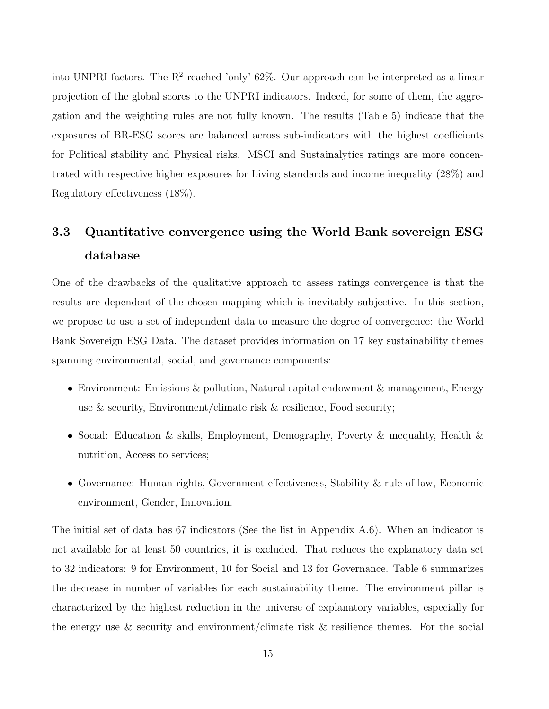into UNPRI factors. The  $R^2$  reached 'only' 62%. Our approach can be interpreted as a linear projection of the global scores to the UNPRI indicators. Indeed, for some of them, the aggregation and the weighting rules are not fully known. The results (Table 5) indicate that the exposures of BR-ESG scores are balanced across sub-indicators with the highest coefficients for Political stability and Physical risks. MSCI and Sustainalytics ratings are more concentrated with respective higher exposures for Living standards and income inequality (28%) and Regulatory effectiveness (18%).

# 3.3 Quantitative convergence using the World Bank sovereign ESG database

One of the drawbacks of the qualitative approach to assess ratings convergence is that the results are dependent of the chosen mapping which is inevitably subjective. In this section, we propose to use a set of independent data to measure the degree of convergence: the World Bank Sovereign ESG Data. The dataset provides information on 17 key sustainability themes spanning environmental, social, and governance components:

- Environment: Emissions & pollution, Natural capital endowment & management, Energy use & security, Environment/climate risk & resilience, Food security;
- Social: Education & skills, Employment, Demography, Poverty & inequality, Health & nutrition, Access to services;
- Governance: Human rights, Government effectiveness, Stability & rule of law, Economic environment, Gender, Innovation.

The initial set of data has 67 indicators (See the list in Appendix A.6). When an indicator is not available for at least 50 countries, it is excluded. That reduces the explanatory data set to 32 indicators: 9 for Environment, 10 for Social and 13 for Governance. Table 6 summarizes the decrease in number of variables for each sustainability theme. The environment pillar is characterized by the highest reduction in the universe of explanatory variables, especially for the energy use & security and environment/climate risk & resilience themes. For the social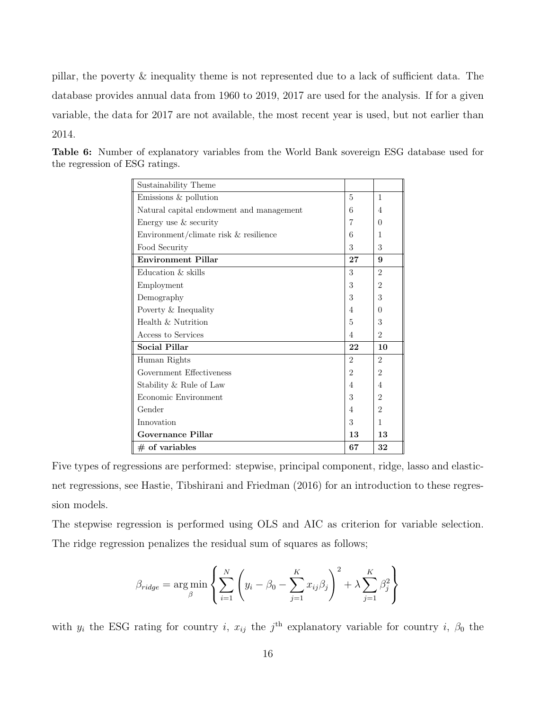pillar, the poverty & inequality theme is not represented due to a lack of sufficient data. The database provides annual data from 1960 to 2019, 2017 are used for the analysis. If for a given variable, the data for 2017 are not available, the most recent year is used, but not earlier than 2014.

| Sustainability Theme                     |                |                |
|------------------------------------------|----------------|----------------|
| Emissions & pollution                    | 5              | $\mathbf{1}$   |
| Natural capital endowment and management | 6              | $\overline{4}$ |
| Energy use & security                    | 7              | $\Omega$       |
| Environment/climate risk & resilience    | 6              | 1              |
| Food Security                            | 3              | 3              |
| <b>Environment Pillar</b>                | 27             | 9              |
| Education & skills                       | 3              | $\mathfrak{D}$ |
| Employment                               | 3              | $\overline{2}$ |
| Demography                               | 3              | 3              |
| Poverty & Inequality                     | 4              | $\Omega$       |
| Health & Nutrition                       | 5              | 3              |
| Access to Services                       | 4              | $\overline{2}$ |
| <b>Social Pillar</b>                     | 22             | 10             |
| Human Rights                             | $\mathfrak{D}$ | $\mathfrak{D}$ |
| Government Effectiveness                 | $\overline{2}$ | $\overline{2}$ |
| Stability & Rule of Law                  | 4              | $\overline{4}$ |
| Economic Environment                     | 3              | 2              |
| Gender                                   | 4              | $\mathfrak{D}$ |
| Innovation                               | 3              | 1              |
| Governance Pillar                        | 13             | 13             |
| $#$ of variables                         | 67             | 32             |

Table 6: Number of explanatory variables from the World Bank sovereign ESG database used for the regression of ESG ratings.

Five types of regressions are performed: stepwise, principal component, ridge, lasso and elasticnet regressions, see Hastie, Tibshirani and Friedman (2016) for an introduction to these regression models.

The stepwise regression is performed using OLS and AIC as criterion for variable selection. The ridge regression penalizes the residual sum of squares as follows;

$$
\beta_{ridge} = \arg\min_{\beta} \left\{ \sum_{i=1}^{N} \left( y_i - \beta_0 - \sum_{j=1}^{K} x_{ij} \beta_j \right)^2 + \lambda \sum_{j=1}^{K} \beta_j^2 \right\}
$$

with  $y_i$  the ESG rating for country i,  $x_{ij}$  the j<sup>th</sup> explanatory variable for country i,  $\beta_0$  the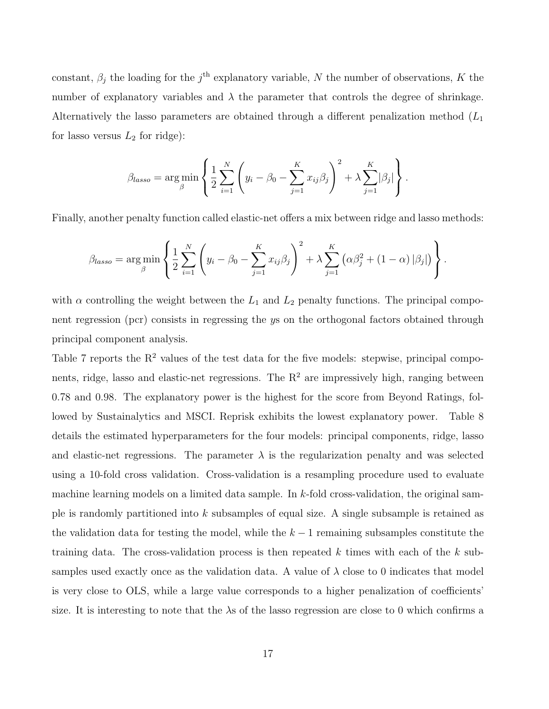constant,  $\beta_j$  the loading for the j<sup>th</sup> explanatory variable, N the number of observations, K the number of explanatory variables and  $\lambda$  the parameter that controls the degree of shrinkage. Alternatively the lasso parameters are obtained through a different penalization method  $(L_1)$ for lasso versus  $L_2$  for ridge):

$$
\beta_{lasso} = \underset{\beta}{\arg\min} \left\{ \frac{1}{2} \sum_{i=1}^{N} \left( y_i - \beta_0 - \sum_{j=1}^{K} x_{ij} \beta_j \right)^2 + \lambda \sum_{j=1}^{K} |\beta_j| \right\}.
$$

Finally, another penalty function called elastic-net offers a mix between ridge and lasso methods:

$$
\beta_{lasso} = \arg\min_{\beta} \left\{ \frac{1}{2} \sum_{i=1}^{N} \left( y_i - \beta_0 - \sum_{j=1}^{K} x_{ij} \beta_j \right)^2 + \lambda \sum_{j=1}^{K} \left( \alpha \beta_j^2 + (1 - \alpha) \left| \beta_j \right| \right) \right\}.
$$

with  $\alpha$  controlling the weight between the  $L_1$  and  $L_2$  penalty functions. The principal component regression (pcr) consists in regressing the ys on the orthogonal factors obtained through principal component analysis.

Table 7 reports the  $R^2$  values of the test data for the five models: stepwise, principal components, ridge, lasso and elastic-net regressions. The  $R<sup>2</sup>$  are impressively high, ranging between 0.78 and 0.98. The explanatory power is the highest for the score from Beyond Ratings, followed by Sustainalytics and MSCI. Reprisk exhibits the lowest explanatory power. Table 8 details the estimated hyperparameters for the four models: principal components, ridge, lasso and elastic-net regressions. The parameter  $\lambda$  is the regularization penalty and was selected using a 10-fold cross validation. Cross-validation is a resampling procedure used to evaluate machine learning models on a limited data sample. In  $k$ -fold cross-validation, the original sample is randomly partitioned into k subsamples of equal size. A single subsample is retained as the validation data for testing the model, while the  $k-1$  remaining subsamples constitute the training data. The cross-validation process is then repeated k times with each of the  $k$  subsamples used exactly once as the validation data. A value of  $\lambda$  close to 0 indicates that model is very close to OLS, while a large value corresponds to a higher penalization of coefficients' size. It is interesting to note that the  $\lambda$ s of the lasso regression are close to 0 which confirms a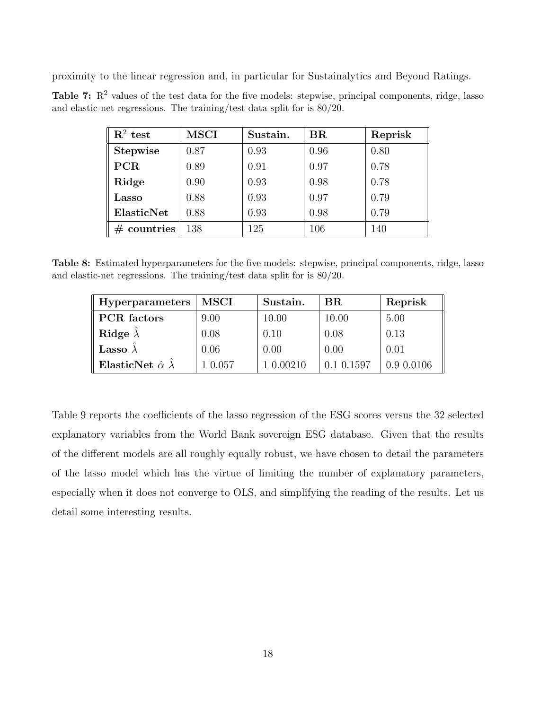proximity to the linear regression and, in particular for Sustainalytics and Beyond Ratings.

**Table 7:**  $\mathbb{R}^2$  values of the test data for the five models: stepwise, principal components, ridge, lasso and elastic-net regressions. The training/test data split for is 80/20.

| $\mathbf{R}^2$ test | <b>MSCI</b> | Sustain. | $_{\rm BR}$ | Reprisk |
|---------------------|-------------|----------|-------------|---------|
| <b>Stepwise</b>     | 0.87        | 0.93     | 0.96        | 0.80    |
| <b>PCR</b>          | 0.89        | 0.91     | 0.97        | 0.78    |
| Ridge               | 0.90        | 0.93     | 0.98        | 0.78    |
| $\rm Lasso$         | 0.88        | 0.93     | 0.97        | 0.79    |
| ElasticNet          | 0.88        | 0.93     | 0.98        | 0.79    |
| countries           | 138         | 125      | 106         | 140     |

Table 8: Estimated hyperparameters for the five models: stepwise, principal components, ridge, lasso and elastic-net regressions. The training/test data split for is 80/20.

| <b>Hyperparameters</b>            | MSCI    | Sustain. | BR         | Reprisk    |
|-----------------------------------|---------|----------|------------|------------|
| <b>PCR</b> factors                | 9.00    | 10.00    | 10.00      | 5.00       |
| Ridge $\lambda$                   | 0.08    | 0.10     | 0.08       | 0.13       |
| <b>Lasso</b> $\lambda$            | 0.06    | 0.00     | 0.00       | 0.01       |
| ElasticNet $\hat{\alpha} \lambda$ | 1 0.057 | 0.00210  | 0.1 0.1597 | 0.9 0.0106 |

Table 9 reports the coefficients of the lasso regression of the ESG scores versus the 32 selected explanatory variables from the World Bank sovereign ESG database. Given that the results of the different models are all roughly equally robust, we have chosen to detail the parameters of the lasso model which has the virtue of limiting the number of explanatory parameters, especially when it does not converge to OLS, and simplifying the reading of the results. Let us detail some interesting results.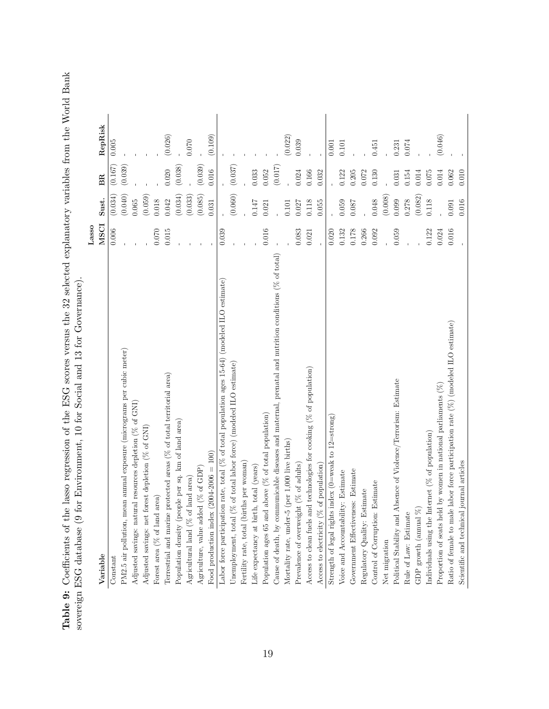Table 9: Coefficients of the lasso regression of the ESG scores versus the 32 selected explanatory variables from the World Bank<br>sovereign ESG database (9 for Environment, 10 for Social and 13 for Governance). Table 9: Coefficients of the lasso regression of the ESG scores versus the 32 selected explanatory variables from the World Bank sovereign ESG database (9 for Environment, 10 for Social and 13 for Governance).

| ", "The content of the content of the content of the content of the content of the content of the content of the content of the content of the content of the content of the content of the content of the content of the cont |             |         |           |           |
|--------------------------------------------------------------------------------------------------------------------------------------------------------------------------------------------------------------------------------|-------------|---------|-----------|-----------|
|                                                                                                                                                                                                                                | Lasso       |         |           |           |
| Variable                                                                                                                                                                                                                       | <b>MSCI</b> | Sust.   | <b>BR</b> | RepRisk   |
| Constant                                                                                                                                                                                                                       | 0.006       | (0.034) | (0.167)   | 0.005     |
| PM2.5 air pollution, mean annual exposure (micrograms per cubic meter)                                                                                                                                                         |             | (0.040) | (0.039)   |           |
| Adjusted savings: natural resources depletion (% of GNI)                                                                                                                                                                       |             | 0.065   |           |           |
| Adjusted savings: net forest depletion (% of GNI)                                                                                                                                                                              |             | (0.059) |           |           |
| Forest area ( $%$ of land area)                                                                                                                                                                                                | $0.070\,$   | 0.018   |           |           |
| protected areas ( $%$ of total territorial area)<br>Terrestrial and marine J                                                                                                                                                   | 0.015       | 0.042   | 0.020     | (0.026)   |
| Population density (people per sq. km of land area)                                                                                                                                                                            |             | (0.034) | (0.038)   |           |
| Agricultural land ( $%$ of land area)                                                                                                                                                                                          |             | (0.033) |           | 0.070     |
| Agriculture, value added ( $%$ of GDP)                                                                                                                                                                                         |             | (0.085) | (0.039)   |           |
| $(2004 - 2006 = 100)$<br>Food production index                                                                                                                                                                                 |             | 0.031   | 0.016     | (0.109)   |
| Labor force participation rate, total ( $%$ of total population ages 15-64) (modeled ILO estimate)                                                                                                                             | 0.039       |         |           |           |
| Unemployment, total (% of total labor force) (modeled ILO estimate)                                                                                                                                                            |             | (0.060) | (0.037)   |           |
| Fertility rate, total (births per woman)                                                                                                                                                                                       |             |         |           |           |
| Life expectancy at birth, total (years)                                                                                                                                                                                        |             | 0.147   | 0.033     |           |
| above ( $%$ of total population)<br>Population ages 65 and                                                                                                                                                                     | 0.016       | 0.021   | 0.052     |           |
| Cause of death, by communicable diseases and maternal, prenatal and nutrition conditions $(\%$ of total)                                                                                                                       |             |         | (0.017)   |           |
| (per 1,000 live births)<br>Mortality rate, under-5                                                                                                                                                                             |             | 0.101   |           | (0.022)   |
| Prevalence of overweight (% of adults)                                                                                                                                                                                         | 0.083       | 0.027   | 0.024     | 0.039     |
| Access to clean fuels and technologies for cooking $(\%$ of population)                                                                                                                                                        | 0.021       | 0.118   | 0.166     |           |
| of population)<br>Access to electricity ( $%$                                                                                                                                                                                  |             | 0.055   | 0.032     |           |
| Strength of legal rights index ( $0$ =weak to $12$ =strong)                                                                                                                                                                    | 0.020       |         |           | $0.001\,$ |
| Voice and Accountability: Estimate                                                                                                                                                                                             | 0.132       | 0.059   | 0.122     | 0.101     |
| Government Effectiveness: Estimate                                                                                                                                                                                             | 0.178       | 0.087   | 0.205     |           |
| Regulatory Quality: Estimate                                                                                                                                                                                                   | 0.266       |         | 0.072     |           |
| Estimate<br>Control of Corruption:                                                                                                                                                                                             | 0.092       | 0.048   | 0.130     | 0.451     |
| Net migration                                                                                                                                                                                                                  |             | (0.008) |           |           |
| Political Stability and Absence of Violence/Terrorism: Estimate                                                                                                                                                                | 0.059       | 0.099   | 0.031     | 0.231     |
| Rule of Law: Estimate                                                                                                                                                                                                          |             | 0.278   | $0.154\,$ | 0.074     |
| GDP growth (annual $\%$                                                                                                                                                                                                        |             | (0.082) | 0.014     |           |
| Individuals using the Internet ( $%$ of population)                                                                                                                                                                            | 0.122       | 0.118   | 0.075     |           |
| by women in national parliaments $(\%)$<br>Proportion of seats held                                                                                                                                                            | 0.024       |         | 0.014     | (0.046)   |
| Ratio of female to male labor force participation rate $(\%)$ (modeled ILO estimate)                                                                                                                                           | 0.016       | 0.091   | 0.062     |           |
| journal articles<br>Scientific and technical                                                                                                                                                                                   |             | 0.016   | 0.010     |           |
|                                                                                                                                                                                                                                |             |         |           |           |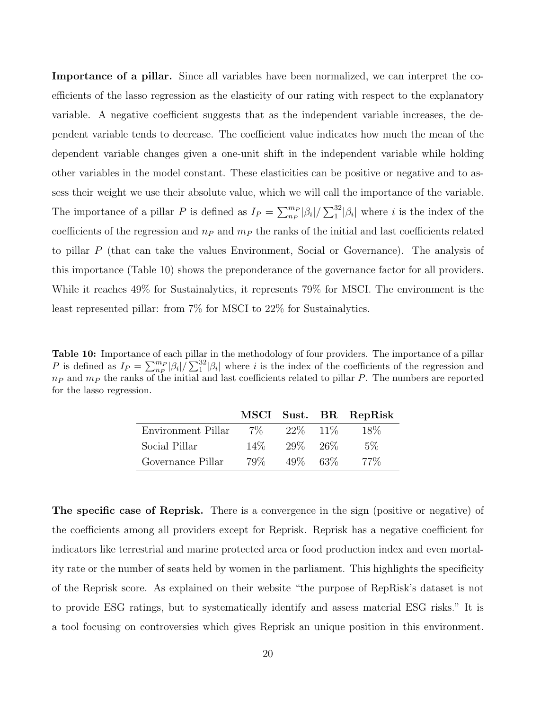Importance of a pillar. Since all variables have been normalized, we can interpret the coefficients of the lasso regression as the elasticity of our rating with respect to the explanatory variable. A negative coefficient suggests that as the independent variable increases, the dependent variable tends to decrease. The coefficient value indicates how much the mean of the dependent variable changes given a one-unit shift in the independent variable while holding other variables in the model constant. These elasticities can be positive or negative and to assess their weight we use their absolute value, which we will call the importance of the variable. The importance of a pillar P is defined as  $I_P = \sum_{n_P}^{m_P} |\beta_i| / \sum_{1}^{32} |\beta_i|$  where i is the index of the coefficients of the regression and  $n_P$  and  $m_P$  the ranks of the initial and last coefficients related to pillar P (that can take the values Environment, Social or Governance). The analysis of this importance (Table 10) shows the preponderance of the governance factor for all providers. While it reaches 49% for Sustainalytics, it represents 79% for MSCI. The environment is the least represented pillar: from 7% for MSCI to 22% for Sustainalytics.

Table 10: Importance of each pillar in the methodology of four providers. The importance of a pillar P is defined as  $I_P = \sum_{n_P}^{m_P} |\beta_i| / \sum_{1}^{32} |\beta_i|$  where i is the index of the coefficients of the regression and  $n_P$  and  $m_P$  the ranks of the initial and last coefficients related to pillar P. The numbers are reported for the lasso regression.

|                    |        |             | MSCI Sust. BR RepRisk |
|--------------------|--------|-------------|-----------------------|
| Environment Pillar | $7\%$  | 22\% 11\%   | 18\%                  |
| Social Pillar      | $14\%$ | 29\%26\%    | $5\%$                 |
| Governance Pillar  | 79%    | $49\%$ 63\% | - 77%                 |

The specific case of Reprisk. There is a convergence in the sign (positive or negative) of the coefficients among all providers except for Reprisk. Reprisk has a negative coefficient for indicators like terrestrial and marine protected area or food production index and even mortality rate or the number of seats held by women in the parliament. This highlights the specificity of the Reprisk score. As explained on their website "the purpose of RepRisk's dataset is not to provide ESG ratings, but to systematically identify and assess material ESG risks." It is a tool focusing on controversies which gives Reprisk an unique position in this environment.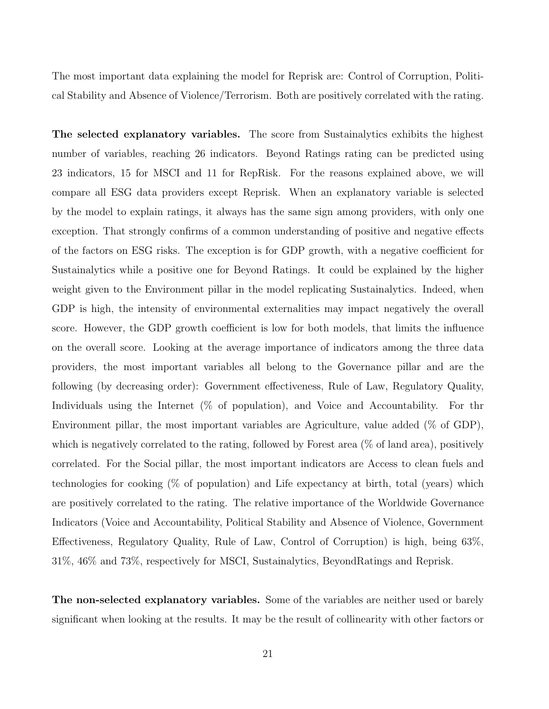The most important data explaining the model for Reprisk are: Control of Corruption, Political Stability and Absence of Violence/Terrorism. Both are positively correlated with the rating.

The selected explanatory variables. The score from Sustainalytics exhibits the highest number of variables, reaching 26 indicators. Beyond Ratings rating can be predicted using 23 indicators, 15 for MSCI and 11 for RepRisk. For the reasons explained above, we will compare all ESG data providers except Reprisk. When an explanatory variable is selected by the model to explain ratings, it always has the same sign among providers, with only one exception. That strongly confirms of a common understanding of positive and negative effects of the factors on ESG risks. The exception is for GDP growth, with a negative coefficient for Sustainalytics while a positive one for Beyond Ratings. It could be explained by the higher weight given to the Environment pillar in the model replicating Sustainalytics. Indeed, when GDP is high, the intensity of environmental externalities may impact negatively the overall score. However, the GDP growth coefficient is low for both models, that limits the influence on the overall score. Looking at the average importance of indicators among the three data providers, the most important variables all belong to the Governance pillar and are the following (by decreasing order): Government effectiveness, Rule of Law, Regulatory Quality, Individuals using the Internet (% of population), and Voice and Accountability. For thr Environment pillar, the most important variables are Agriculture, value added (% of GDP), which is negatively correlated to the rating, followed by Forest area  $(\%$  of land area), positively correlated. For the Social pillar, the most important indicators are Access to clean fuels and technologies for cooking (% of population) and Life expectancy at birth, total (years) which are positively correlated to the rating. The relative importance of the Worldwide Governance Indicators (Voice and Accountability, Political Stability and Absence of Violence, Government Effectiveness, Regulatory Quality, Rule of Law, Control of Corruption) is high, being 63%, 31%, 46% and 73%, respectively for MSCI, Sustainalytics, BeyondRatings and Reprisk.

The non-selected explanatory variables. Some of the variables are neither used or barely significant when looking at the results. It may be the result of collinearity with other factors or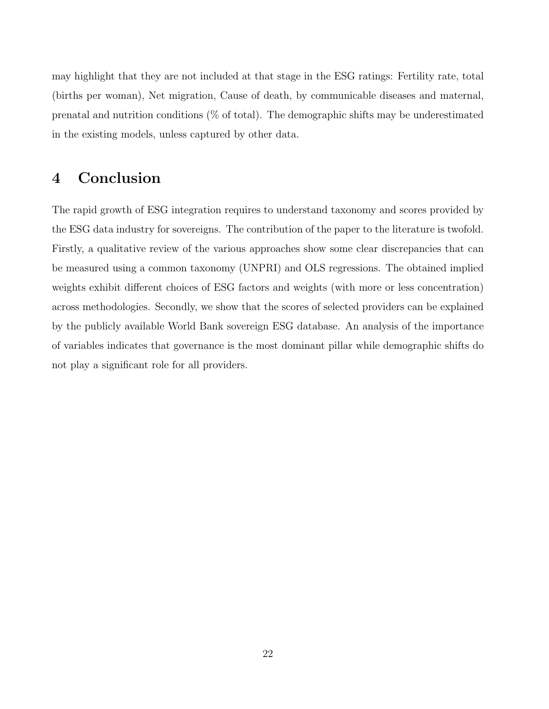may highlight that they are not included at that stage in the ESG ratings: Fertility rate, total (births per woman), Net migration, Cause of death, by communicable diseases and maternal, prenatal and nutrition conditions (% of total). The demographic shifts may be underestimated in the existing models, unless captured by other data.

# 4 Conclusion

The rapid growth of ESG integration requires to understand taxonomy and scores provided by the ESG data industry for sovereigns. The contribution of the paper to the literature is twofold. Firstly, a qualitative review of the various approaches show some clear discrepancies that can be measured using a common taxonomy (UNPRI) and OLS regressions. The obtained implied weights exhibit different choices of ESG factors and weights (with more or less concentration) across methodologies. Secondly, we show that the scores of selected providers can be explained by the publicly available World Bank sovereign ESG database. An analysis of the importance of variables indicates that governance is the most dominant pillar while demographic shifts do not play a significant role for all providers.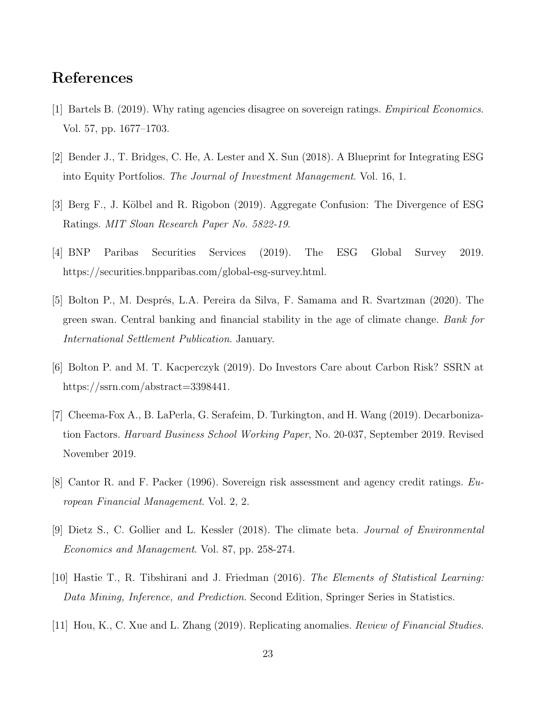# References

- [1] Bartels B. (2019). Why rating agencies disagree on sovereign ratings. Empirical Economics. Vol. 57, pp. 1677–1703.
- [2] Bender J., T. Bridges, C. He, A. Lester and X. Sun (2018). A Blueprint for Integrating ESG into Equity Portfolios. The Journal of Investment Management. Vol. 16, 1.
- [3] Berg F., J. K¨olbel and R. Rigobon (2019). Aggregate Confusion: The Divergence of ESG Ratings. MIT Sloan Research Paper No. 5822-19.
- [4] BNP Paribas Securities Services (2019). The ESG Global Survey 2019. https://securities.bnpparibas.com/global-esg-survey.html.
- [5] Bolton P., M. Després, L.A. Pereira da Silva, F. Samama and R. Svartzman (2020). The green swan. Central banking and financial stability in the age of climate change. Bank for International Settlement Publication. January.
- [6] Bolton P. and M. T. Kacperczyk (2019). Do Investors Care about Carbon Risk? SSRN at https://ssrn.com/abstract=3398441.
- [7] Cheema-Fox A., B. LaPerla, G. Serafeim, D. Turkington, and H. Wang (2019). Decarbonization Factors. Harvard Business School Working Paper, No. 20-037, September 2019. Revised November 2019.
- [8] Cantor R. and F. Packer (1996). Sovereign risk assessment and agency credit ratings. European Financial Management. Vol. 2, 2.
- [9] Dietz S., C. Gollier and L. Kessler (2018). The climate beta. Journal of Environmental Economics and Management. Vol. 87, pp. 258-274.
- [10] Hastie T., R. Tibshirani and J. Friedman (2016). The Elements of Statistical Learning: Data Mining, Inference, and Prediction. Second Edition, Springer Series in Statistics.
- [11] Hou, K., C. Xue and L. Zhang (2019). Replicating anomalies. Review of Financial Studies.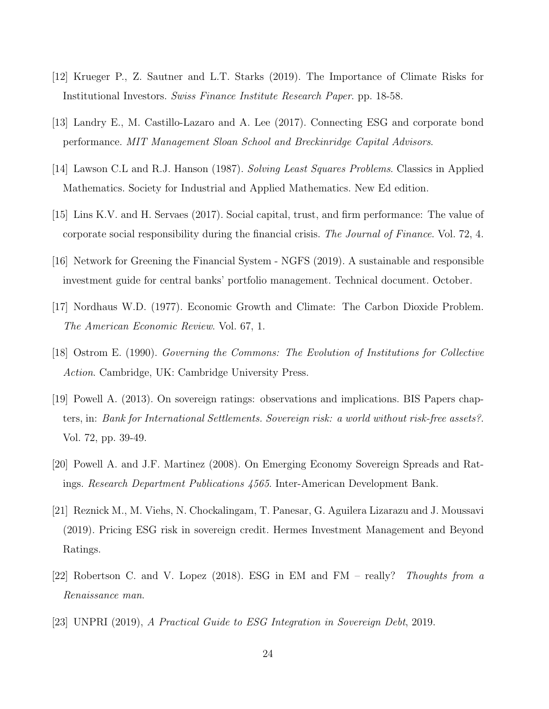- [12] Krueger P., Z. Sautner and L.T. Starks (2019). The Importance of Climate Risks for Institutional Investors. Swiss Finance Institute Research Paper. pp. 18-58.
- [13] Landry E., M. Castillo-Lazaro and A. Lee (2017). Connecting ESG and corporate bond performance. MIT Management Sloan School and Breckinridge Capital Advisors.
- [14] Lawson C.L and R.J. Hanson (1987). Solving Least Squares Problems. Classics in Applied Mathematics. Society for Industrial and Applied Mathematics. New Ed edition.
- [15] Lins K.V. and H. Servaes (2017). Social capital, trust, and firm performance: The value of corporate social responsibility during the financial crisis. The Journal of Finance. Vol. 72, 4.
- [16] Network for Greening the Financial System NGFS (2019). A sustainable and responsible investment guide for central banks' portfolio management. Technical document. October.
- [17] Nordhaus W.D. (1977). Economic Growth and Climate: The Carbon Dioxide Problem. The American Economic Review. Vol. 67, 1.
- [18] Ostrom E. (1990). Governing the Commons: The Evolution of Institutions for Collective Action. Cambridge, UK: Cambridge University Press.
- [19] Powell A. (2013). On sovereign ratings: observations and implications. BIS Papers chapters, in: Bank for International Settlements. Sovereign risk: a world without risk-free assets?. Vol. 72, pp. 39-49.
- [20] Powell A. and J.F. Martinez (2008). On Emerging Economy Sovereign Spreads and Ratings. Research Department Publications 4565. Inter-American Development Bank.
- [21] Reznick M., M. Viehs, N. Chockalingam, T. Panesar, G. Aguilera Lizarazu and J. Moussavi (2019). Pricing ESG risk in sovereign credit. Hermes Investment Management and Beyond Ratings.
- [22] Robertson C. and V. Lopez (2018). ESG in EM and FM really? Thoughts from a Renaissance man.
- [23] UNPRI (2019), A Practical Guide to ESG Integration in Sovereign Debt, 2019.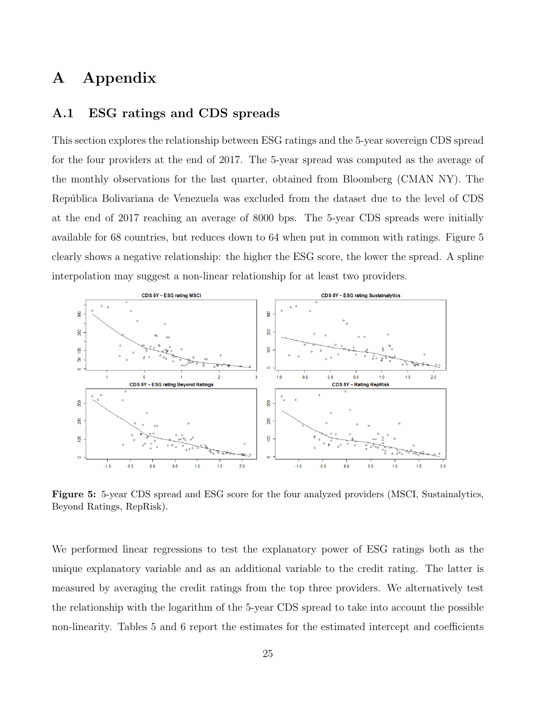# A Appendix

#### A.1 ESG ratings and CDS spreads

This section explores the relationship between ESG ratings and the 5-year sovereign CDS spread for the four providers at the end of 2017. The 5-year spread was computed as the average of the monthly observations for the last quarter, obtained from Bloomberg (CMAN NY). The República Bolivariana de Venezuela was excluded from the dataset due to the level of CDS at the end of 2017 reaching an average of 8000 bps. The 5-year CDS spreads were initially available for 68 countries, but reduces down to 64 when put in common with ratings. Figure 5 clearly shows a negative relationship: the higher the ESG score, the lower the spread. A spline interpolation may suggest a non-linear relationship for at least two providers.



Figure 5: 5-year CDS spread and ESG score for the four analyzed providers (MSCI, Sustainalytics, Beyond Ratings, RepRisk).

We performed linear regressions to test the explanatory power of ESG ratings both as the unique explanatory variable and as an additional variable to the credit rating. The latter is measured by averaging the credit ratings from the top three providers. We alternatively test the relationship with the logarithm of the 5-year CDS spread to take into account the possible non-linearity. Tables 5 and 6 report the estimates for the estimated intercept and coefficients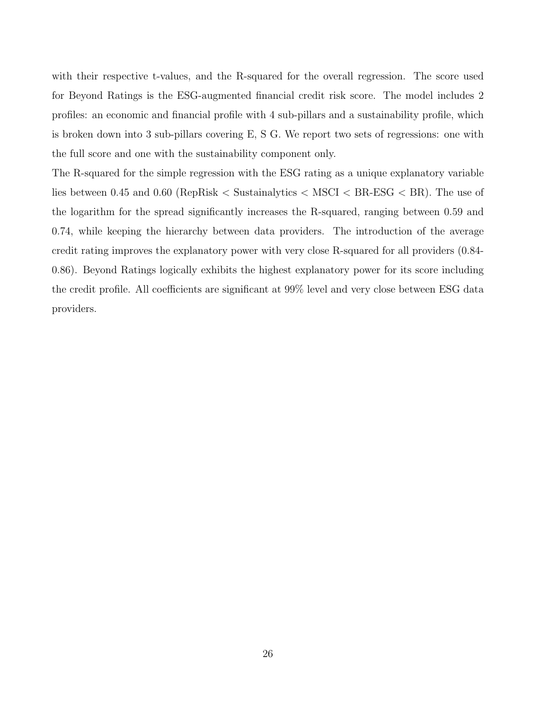with their respective t-values, and the R-squared for the overall regression. The score used for Beyond Ratings is the ESG-augmented financial credit risk score. The model includes 2 profiles: an economic and financial profile with 4 sub-pillars and a sustainability profile, which is broken down into 3 sub-pillars covering E, S G. We report two sets of regressions: one with the full score and one with the sustainability component only.

The R-squared for the simple regression with the ESG rating as a unique explanatory variable lies between 0.45 and 0.60 (RepRisk < Sustainalytics < MSCI < BR-ESG < BR). The use of the logarithm for the spread significantly increases the R-squared, ranging between 0.59 and 0.74, while keeping the hierarchy between data providers. The introduction of the average credit rating improves the explanatory power with very close R-squared for all providers (0.84- 0.86). Beyond Ratings logically exhibits the highest explanatory power for its score including the credit profile. All coefficients are significant at 99% level and very close between ESG data providers.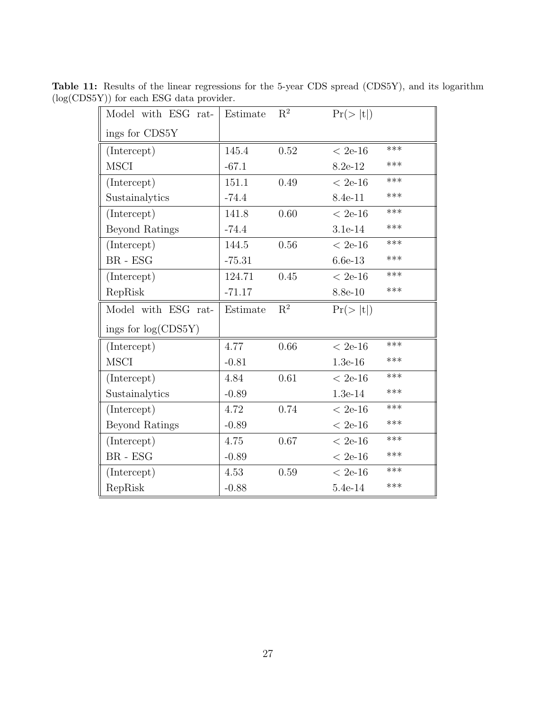| Model with ESG rat-   | Estimate | $\mathbf{R}^2$ | Pr(> t )  |       |
|-----------------------|----------|----------------|-----------|-------|
| ings for CDS5Y        |          |                |           |       |
| (Intercept)           | 145.4    | 0.52           | $< 2e-16$ | ***   |
| <b>MSCI</b>           | $-67.1$  |                | 8.2e-12   | ***   |
| (Intercept)           | 151.1    | 0.49           | $< 2e-16$ | $***$ |
| Sustainalytics        | $-74.4$  |                | 8.4e-11   | ***   |
| (Intercept)           | 141.8    | 0.60           | $< 2e-16$ | $***$ |
| <b>Beyond Ratings</b> | $-74.4$  |                | 3.1e-14   | ***   |
| (Intercept)           | 144.5    | 0.56           | $< 2e-16$ | ***   |
| $BR$ - $ESG$          | $-75.31$ |                | $6.6e-13$ | $***$ |
| (Intercept)           | 124.71   | 0.45           | $< 2e-16$ | ***   |
| RepRisk               | $-71.17$ |                | 8.8e-10   | ***   |
| Model with ESG rat-   | Estimate | $\mathbf{R}^2$ | Pr(> t )  |       |
| ings for $log(CDS5Y)$ |          |                |           |       |
| (Intercept)           | 4.77     | 0.66           |           | ***   |
|                       |          |                | $< 2e-16$ |       |
| <b>MSCI</b>           | $-0.81$  |                | $1.3e-16$ | ***   |
| (Intercept)           | 4.84     | 0.61           | $< 2e-16$ | ***   |
| Sustainalytics        | $-0.89$  |                | $1.3e-14$ | ***   |
| (Intercept)           | 4.72     | 0.74           | $< 2e-16$ | ***   |
| <b>Beyond Ratings</b> | $-0.89$  |                | $< 2e-16$ | ***   |
| (Intercept)           | 4.75     | 0.67           | $< 2e-16$ | ***   |
| $BR - ESG$            | $-0.89$  |                | $< 2e-16$ | ***   |
| (Intercept)           | 4.53     | 0.59           | $< 2e-16$ | $***$ |

Table 11: Results of the linear regressions for the 5-year CDS spread (CDS5Y), and its logarithm (log(CDS5Y)) for each ESG data provider.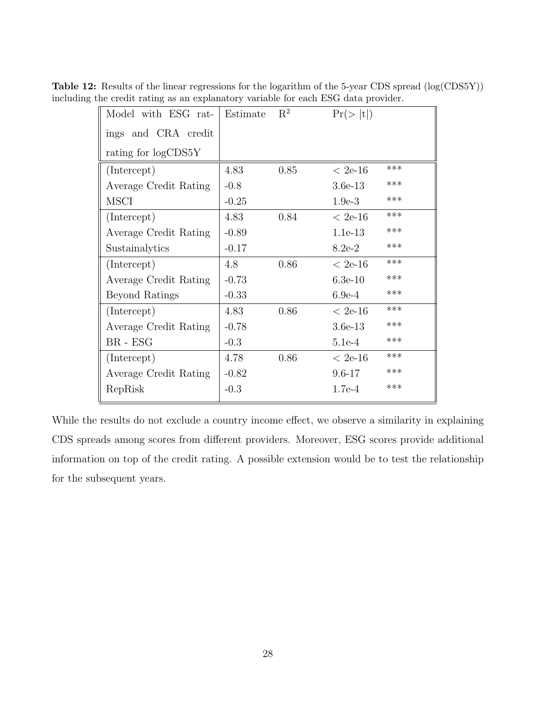| Model with ESG rat-   | Estimate | $\mathrm{R}^2$ | Pr(> t )   |       |
|-----------------------|----------|----------------|------------|-------|
| ings and CRA credit   |          |                |            |       |
| rating for logCDS5Y   |          |                |            |       |
| (Intercept)           | 4.83     | 0.85           | $~< 2e-16$ | ***   |
| Average Credit Rating | $-0.8$   |                | $3.6e-13$  | ***   |
| <b>MSCI</b>           | $-0.25$  |                | $1.9e-3$   | ***   |
| (Intercept)           | 4.83     | 0.84           | $< 2e-16$  | ***   |
| Average Credit Rating | $-0.89$  |                | $1.1e-13$  | ***   |
| Sustainalytics        | $-0.17$  |                | $8.2e-2$   | ***   |
| (Intercept)           | 4.8      | 0.86           | $< 2e-16$  | $***$ |
| Average Credit Rating | $-0.73$  |                | $6.3e-10$  | ***   |
| Beyond Ratings        | $-0.33$  |                | $6.9e-4$   | ***   |
| (Intercept)           | 4.83     | 0.86           | $< 2e-16$  | ***   |
| Average Credit Rating | $-0.78$  |                | $3.6e-13$  | ***   |
| $BR - ESG$            | $-0.3$   |                | $5.1e-4$   | ***   |
| (Intercept)           | 4.78     | 0.86           | $<$ 2e-16  | ***   |
| Average Credit Rating | $-0.82$  |                | $9.6 - 17$ | ***   |
| RepRisk               | $-0.3$   |                | $1.7e-4$   | ***   |
|                       |          |                |            |       |

Table 12: Results of the linear regressions for the logarithm of the 5-year CDS spread (log(CDS5Y)) including the credit rating as an explanatory variable for each ESG data provider.

While the results do not exclude a country income effect, we observe a similarity in explaining CDS spreads among scores from different providers. Moreover, ESG scores provide additional information on top of the credit rating. A possible extension would be to test the relationship for the subsequent years.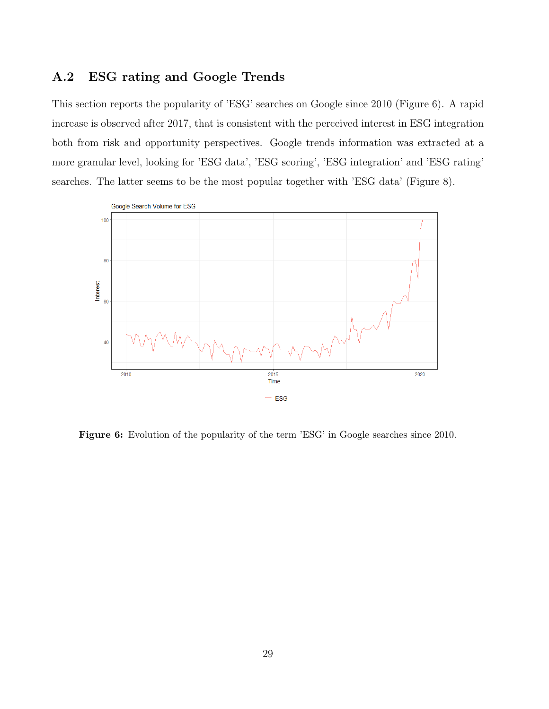#### A.2 ESG rating and Google Trends

This section reports the popularity of 'ESG' searches on Google since 2010 (Figure 6). A rapid increase is observed after 2017, that is consistent with the perceived interest in ESG integration both from risk and opportunity perspectives. Google trends information was extracted at a more granular level, looking for 'ESG data', 'ESG scoring', 'ESG integration' and 'ESG rating' searches. The latter seems to be the most popular together with 'ESG data' (Figure 8).



Figure 6: Evolution of the popularity of the term 'ESG' in Google searches since 2010.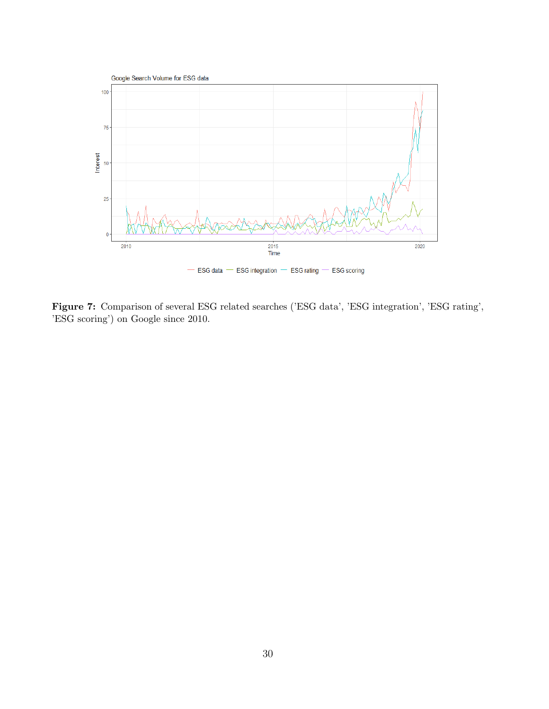

Figure 7: Comparison of several ESG related searches ('ESG data', 'ESG integration', 'ESG rating', 'ESG scoring') on Google since 2010.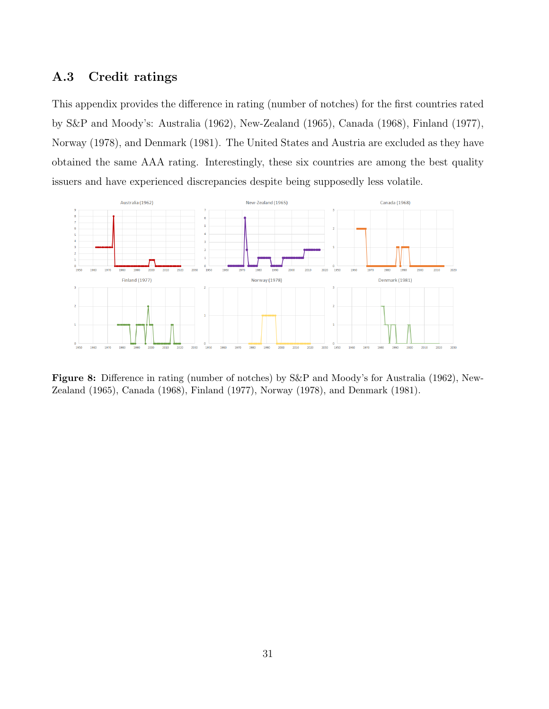#### A.3 Credit ratings

This appendix provides the difference in rating (number of notches) for the first countries rated by S&P and Moody's: Australia (1962), New-Zealand (1965), Canada (1968), Finland (1977), Norway (1978), and Denmark (1981). The United States and Austria are excluded as they have obtained the same AAA rating. Interestingly, these six countries are among the best quality issuers and have experienced discrepancies despite being supposedly less volatile.



Figure 8: Difference in rating (number of notches) by S&P and Moody's for Australia (1962), New-Zealand (1965), Canada (1968), Finland (1977), Norway (1978), and Denmark (1981).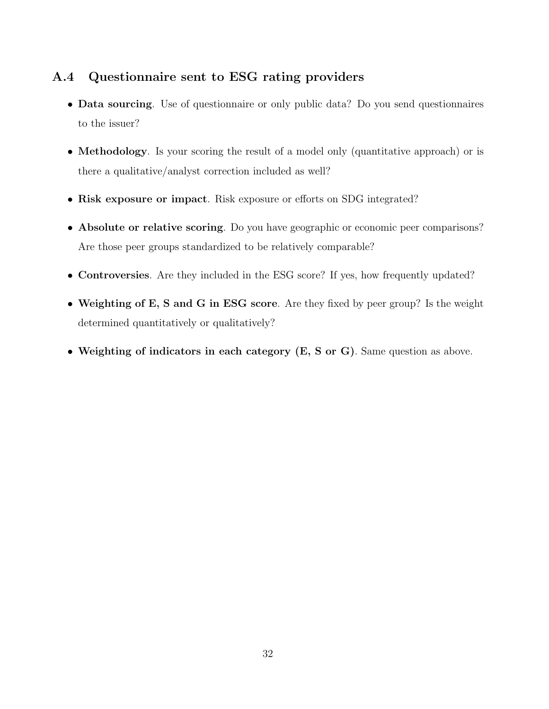### A.4 Questionnaire sent to ESG rating providers

- Data sourcing. Use of questionnaire or only public data? Do you send questionnaires to the issuer?
- Methodology. Is your scoring the result of a model only (quantitative approach) or is there a qualitative/analyst correction included as well?
- Risk exposure or impact. Risk exposure or efforts on SDG integrated?
- Absolute or relative scoring. Do you have geographic or economic peer comparisons? Are those peer groups standardized to be relatively comparable?
- Controversies. Are they included in the ESG score? If yes, how frequently updated?
- Weighting of E, S and G in ESG score. Are they fixed by peer group? Is the weight determined quantitatively or qualitatively?
- Weighting of indicators in each category (E, S or G). Same question as above.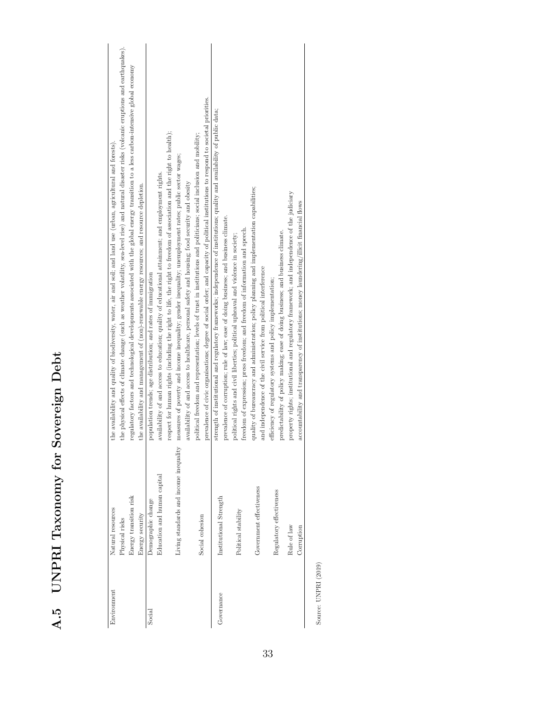| Environment | Natural resources                      | the availability and quality of biodiversity, water, air and soil; and land use (urban, agricultural and forests).                                   |
|-------------|----------------------------------------|------------------------------------------------------------------------------------------------------------------------------------------------------|
|             | Physical risks                         | the physical effects of climate change (such as weather volatility, sea-level rise) and natural disaster risks (volcanic eruptions and earthquakes). |
|             | Energy transition risk                 | regulatory factors and technological developments associated with the global energy transition to a less carbon-intensive global economy             |
|             | Energy security                        | the availability and management of (non)-renewable energy resources; and resource depletion.                                                         |
| Social      | Demographic change                     | population trends; age distribution; and rates of immigration                                                                                        |
|             | Education and human capital            | availability of and access to education; quality of educational attainment; and employment rights.                                                   |
|             |                                        | respect for human rights (including the right to life, the right to freedom of association and the right to health);                                 |
|             | Living standards and income inequality | measures of poverty and income inequality; gender inequality; unemployment rates; public sector wages;                                               |
|             |                                        | availability of and access to healthcare, personal safety and housing; food security and obesity                                                     |
|             |                                        | political freedom and representation; levels of trust in institutions and politicians; social inclusion and mobility;                                |
|             | Social cohesion                        | prevalence of civic organisations; degree of social order; and capacity of political institutions to respond to societal priorities.                 |
| Governance  | Institutional Strength                 | strength of institutional and regulatory frameworks; independence of institutions; quality and availability of public data;                          |
|             |                                        | prevalence of corruption; rule of law; ease of doing business; and business climate.                                                                 |
|             | Political stability                    | political rights and civil liberties; political upheaval and violence in society;                                                                    |
|             |                                        | freedom of expression; press freedom; and freedom of information and speech.                                                                         |
|             | Government effectiveness               | quality of bureaucracy and administration; policy planning and implementation capabilities;                                                          |
|             |                                        | and independence of the civil service from political interference                                                                                    |
|             | Regulatory effectiveness               | efficiency of regulatory systems and policy implementation;                                                                                          |
|             |                                        | predictability of policy making; ease of doing business; and business climate.                                                                       |
|             | Rule of law                            | property rights; institutional and regulatory framework; and independence of the judiciary                                                           |
|             | Corruption                             | accountability and transparency of institutions; money laundering/illicit financial flows                                                            |

Source: UNPRI (2019) Source: UNPRI (2019)

Corruption accountability and transparency of institutions; money laundering/illicit financial flows

A.5 UNPRI Taxonomy for Sovereign Debt

A.5 UNPRI Taxonomy for Sovereign Debt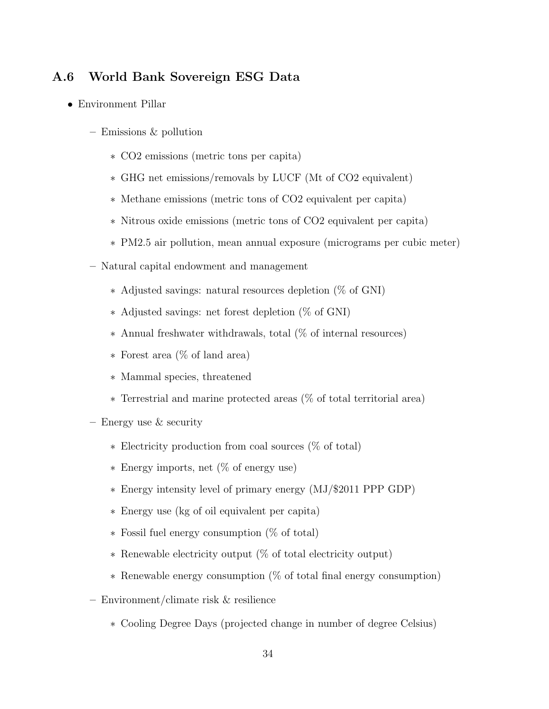#### A.6 World Bank Sovereign ESG Data

- Environment Pillar
	- Emissions & pollution
		- ∗ CO2 emissions (metric tons per capita)
		- ∗ GHG net emissions/removals by LUCF (Mt of CO2 equivalent)
		- ∗ Methane emissions (metric tons of CO2 equivalent per capita)
		- ∗ Nitrous oxide emissions (metric tons of CO2 equivalent per capita)
		- ∗ PM2.5 air pollution, mean annual exposure (micrograms per cubic meter)
	- Natural capital endowment and management
		- ∗ Adjusted savings: natural resources depletion (% of GNI)
		- ∗ Adjusted savings: net forest depletion (% of GNI)
		- ∗ Annual freshwater withdrawals, total (% of internal resources)
		- ∗ Forest area (% of land area)
		- ∗ Mammal species, threatened
		- ∗ Terrestrial and marine protected areas (% of total territorial area)
	- Energy use & security
		- ∗ Electricity production from coal sources (% of total)
		- ∗ Energy imports, net (% of energy use)
		- ∗ Energy intensity level of primary energy (MJ/\$2011 PPP GDP)
		- ∗ Energy use (kg of oil equivalent per capita)
		- ∗ Fossil fuel energy consumption (% of total)
		- ∗ Renewable electricity output (% of total electricity output)
		- ∗ Renewable energy consumption (% of total final energy consumption)
	- Environment/climate risk & resilience
		- ∗ Cooling Degree Days (projected change in number of degree Celsius)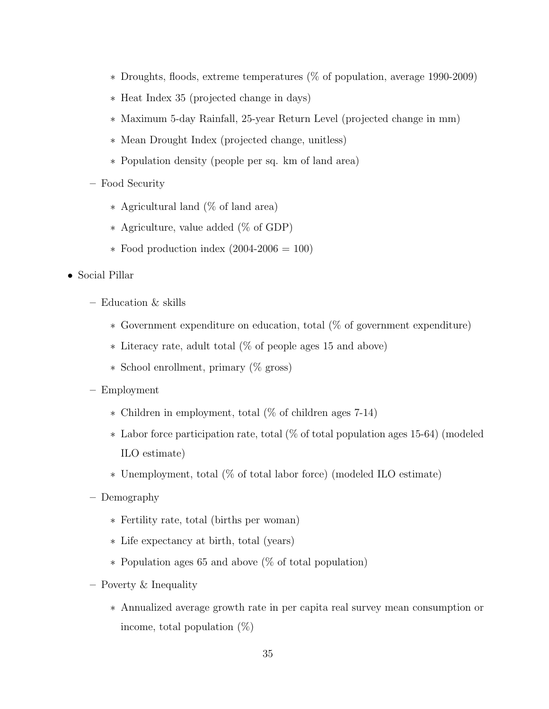- ∗ Droughts, floods, extreme temperatures (% of population, average 1990-2009)
- ∗ Heat Index 35 (projected change in days)
- ∗ Maximum 5-day Rainfall, 25-year Return Level (projected change in mm)
- ∗ Mean Drought Index (projected change, unitless)
- ∗ Population density (people per sq. km of land area)
- Food Security
	- ∗ Agricultural land (% of land area)
	- ∗ Agriculture, value added (% of GDP)
	- ∗ Food production index (2004-2006 = 100)
- Social Pillar
	- Education & skills
		- ∗ Government expenditure on education, total (% of government expenditure)
		- ∗ Literacy rate, adult total (% of people ages 15 and above)
		- ∗ School enrollment, primary (% gross)
	- Employment
		- ∗ Children in employment, total (% of children ages 7-14)
		- ∗ Labor force participation rate, total (% of total population ages 15-64) (modeled ILO estimate)
		- ∗ Unemployment, total (% of total labor force) (modeled ILO estimate)
	- Demography
		- ∗ Fertility rate, total (births per woman)
		- ∗ Life expectancy at birth, total (years)
		- ∗ Population ages 65 and above (% of total population)
	- Poverty & Inequality
		- ∗ Annualized average growth rate in per capita real survey mean consumption or income, total population  $(\%)$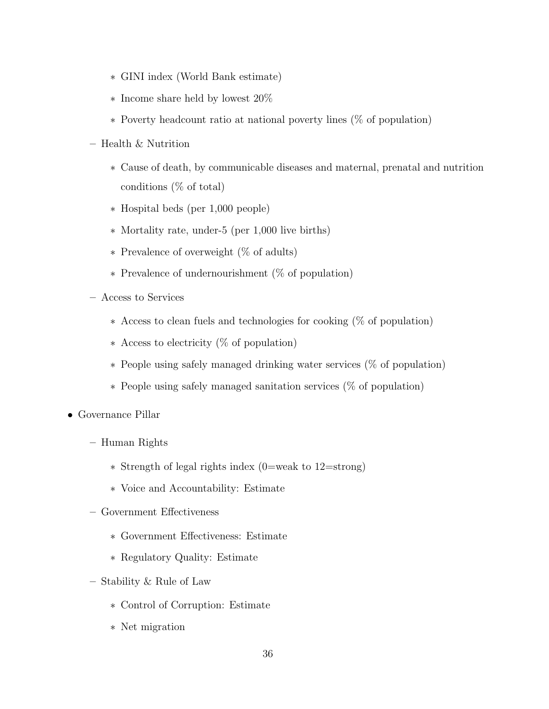- ∗ GINI index (World Bank estimate)
- ∗ Income share held by lowest 20%
- ∗ Poverty headcount ratio at national poverty lines (% of population)
- Health & Nutrition
	- ∗ Cause of death, by communicable diseases and maternal, prenatal and nutrition conditions (% of total)
	- ∗ Hospital beds (per 1,000 people)
	- ∗ Mortality rate, under-5 (per 1,000 live births)
	- ∗ Prevalence of overweight (% of adults)
	- ∗ Prevalence of undernourishment (% of population)
- Access to Services
	- ∗ Access to clean fuels and technologies for cooking (% of population)
	- ∗ Access to electricity (% of population)
	- ∗ People using safely managed drinking water services (% of population)
	- ∗ People using safely managed sanitation services (% of population)
- Governance Pillar
	- Human Rights
		- ∗ Strength of legal rights index (0=weak to 12=strong)
		- ∗ Voice and Accountability: Estimate
	- Government Effectiveness
		- ∗ Government Effectiveness: Estimate
		- ∗ Regulatory Quality: Estimate
	- Stability & Rule of Law
		- ∗ Control of Corruption: Estimate
		- ∗ Net migration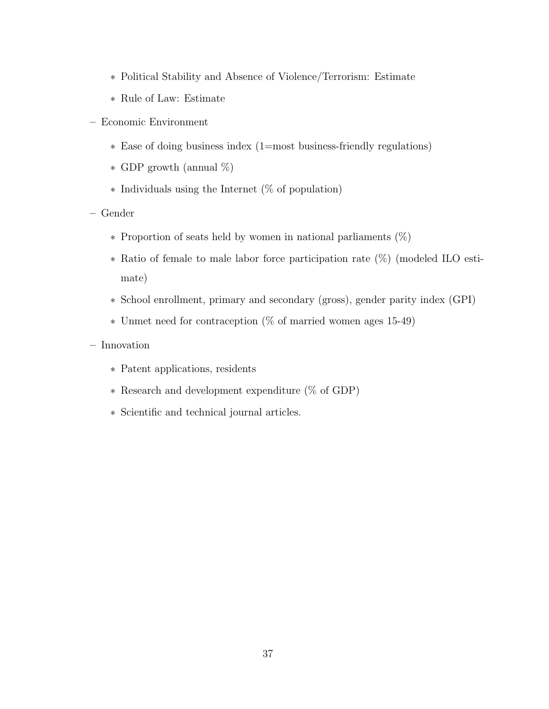- ∗ Political Stability and Absence of Violence/Terrorism: Estimate
- ∗ Rule of Law: Estimate
- Economic Environment
	- ∗ Ease of doing business index (1=most business-friendly regulations)
	- ∗ GDP growth (annual %)
	- ∗ Individuals using the Internet (% of population)
- Gender
	- ∗ Proportion of seats held by women in national parliaments (%)
	- ∗ Ratio of female to male labor force participation rate (%) (modeled ILO estimate)
	- ∗ School enrollment, primary and secondary (gross), gender parity index (GPI)
	- ∗ Unmet need for contraception (% of married women ages 15-49)
- Innovation
	- ∗ Patent applications, residents
	- ∗ Research and development expenditure (% of GDP)
	- ∗ Scientific and technical journal articles.